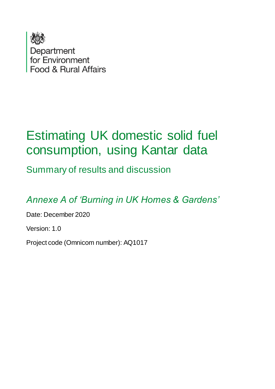

# Estimating UK domestic solid fuel consumption, using Kantar data

Summary of results and discussion

*Annexe A of 'Burning in UK Homes & Gardens'*

Date: December 2020

Version: 1.0

Project code (Omnicom number): AQ1017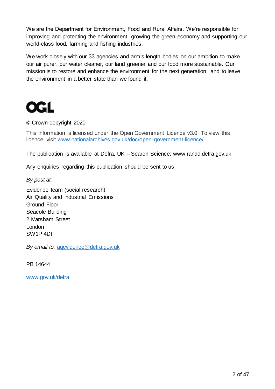We are the Department for Environment, Food and Rural Affairs. We're responsible for improving and protecting the environment, growing the green economy and supporting our world-class food, farming and fishing industries.

We work closely with our 33 agencies and arm's length bodies on our ambition to make our air purer, our water cleaner, our land greener and our food more sustainable. Our mission is to restore and enhance the environment for the next generation, and to leave the environment in a better state than we found it.



© Crown copyright 2020

This information is licensed under the Open Government Licence v3.0. To view this licence, visit [www.nationalarchives.gov.uk/doc/open-government-licence/](http://www.nationalarchives.gov.uk/doc/open-government-licence/)

The publication is available at Defra, UK – Search Science: www.randd.defra.gov.uk

Any enquiries regarding this publication should be sent to us

*By post at:*

Evidence team (social research) Air Quality and Industrial Emissions Ground Floor Seacole Building 2 Marsham Street London SW1P 4DF

*By email to:* [aqevidence@defra.gov.uk](mailto:aqevidence@defra.gov.uk)

PB 14644

[www.gov.uk/defra](http://www.gov.uk/defra)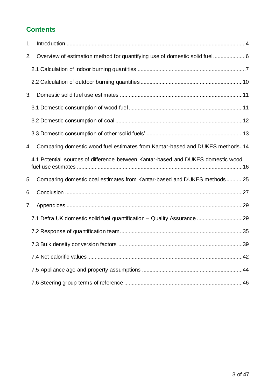## **Contents**

| 1. |                                                                                  |
|----|----------------------------------------------------------------------------------|
| 2. | Overview of estimation method for quantifying use of domestic solid fuel6        |
|    |                                                                                  |
|    |                                                                                  |
| 3. |                                                                                  |
|    |                                                                                  |
|    |                                                                                  |
|    |                                                                                  |
| 4. | Comparing domestic wood fuel estimates from Kantar-based and DUKES methods14     |
|    | 4.1 Potential sources of difference between Kantar-based and DUKES domestic wood |
| 5. | Comparing domestic coal estimates from Kantar-based and DUKES methods25          |
| 6. |                                                                                  |
| 7. |                                                                                  |
|    | 7.1 Defra UK domestic solid fuel quantification - Quality Assurance 29           |
|    |                                                                                  |
|    |                                                                                  |
|    |                                                                                  |
|    |                                                                                  |
|    |                                                                                  |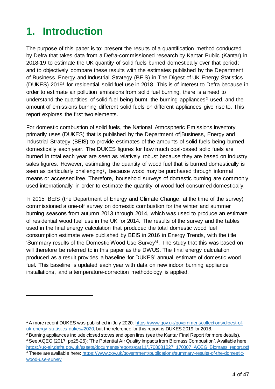# <span id="page-3-0"></span>**1. Introduction**

1

The purpose of this paper is to: present the results of a quantification method conducted by Defra that takes data from a Defra-commissioned research by Kantar Public (Kantar) in 2018-19 to estimate the UK quantity of solid fuels burned domestically over that period; and to objectively compare these results with the estimates published by the Department of Business, Energy and Industrial Strategy (BEIS) in The Digest of UK Energy Statistics (DUKES) 2019<sup>1</sup> for residential solid fuel use in 2018. This is of interest to Defra because in order to estimate air pollution emissions from solid fuel burning, there is a need to understand the quantities of solid fuel being burnt, the burning appliances<sup>2</sup> used, and the amount of emissions burning different solid fuels on different appliances give rise to. This report explores the first two elements.

For domestic combustion of solid fuels, the National Atmospheric Emissions Inventory primarily uses (DUKES) that is published by the Department of Business, Energy and Industrial Strategy (BEIS) to provide estimates of the amounts of solid fuels being burned domestically each year. The DUKES figures for how much coal-based solid fuels are burned in total each year are seen as relatively robust because they are based on industry sales figures. However, estimating the quantity of wood fuel that is burned domestically is seen as particularly challenging<sup>3</sup>, because wood may be purchased through informal means or accessed free. Therefore, household surveys of domestic burning are commonly used internationally in order to estimate the quantity of wood fuel consumed domestically.

In 2015, BEIS (the Department of Energy and Climate Change, at the time of the survey) commissioned a one-off survey on domestic combustion for the winter and summer burning seasons from autumn 2013 through 2014, which was used to produce an estimate of residential wood fuel use in the UK for 2014. The results of the survey and the tables used in the final energy calculation that produced the total domestic wood fuel consumption estimate were published by BEIS in 2016 in Energy Trends, with the title 'Summary results of the Domestic Wood Use Survey'4. The study that this was based on will therefore be referred to in this paper as the DWUS. The final energy calculation produced as a result provides a baseline for DUKES' annual estimate of domestic wood fuel. This baseline is updated each year with data on new indoor burning appliance installations, and a temperature-correction methodology is applied.

<sup>1</sup> A more recent DUKES was published in July 2020[: https://www.gov.uk/government/collections/digest-of](https://www.gov.uk/government/collections/digest-of-uk-energy-statistics-dukes#2020)[uk-energy-statistics-dukes#2020](https://www.gov.uk/government/collections/digest-of-uk-energy-statistics-dukes#2020), but the reference for this report is DUKES 2019 for 2018.

<sup>&</sup>lt;sup>2</sup> Burning appliances include closed stoves and open fires (see the Kantar Final Report for more details). <sup>3</sup> See AQEG (2017, pp25-26): 'The Potential Air Quality Impacts from Biomass Combustion'. Available here:

[https://uk-air.defra.gov.uk/assets/documents/reports/cat11/1708081027\\_170807\\_AQEG\\_Biomass\\_report.pdf](https://uk-air.defra.gov.uk/assets/documents/reports/cat11/1708081027_170807_AQEG_Biomass_report.pdf)

<sup>4</sup> These are available here: [https://www.gov.uk/government/publications/summary-results-of-the-domestic](https://www.gov.uk/government/publications/summary-results-of-the-domestic-wood-use-survey)[wood-use-survey](https://www.gov.uk/government/publications/summary-results-of-the-domestic-wood-use-survey)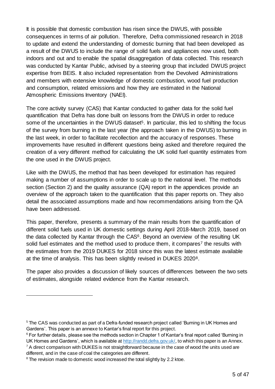It is possible that domestic combustion has risen since the DWUS, with possible consequences in terms of air pollution. Therefore, Defra commissioned research in 2018 to update and extend the understanding of domestic burning that had been developed as a result of the DWUS to include the range of solid fuels and appliances now used, both indoors and out and to enable the spatial disaggregation of data collected. This research was conducted by Kantar Public, advised by a steering group that included DWUS project expertise from BEIS. It also included representation from the Devolved Administrations and members with extensive knowledge of domestic combustion, wood fuel production and consumption, related emissions and how they are estimated in the National Atmospheric Emissions Inventory (NAEI).

The core activity survey (CAS) that Kantar conducted to gather data for the solid fuel quantification that Defra has done built on lessons from the DWUS in order to reduce some of the uncertainties in the DWUS dataset<sup>5</sup>. In particular, this led to shifting the focus of the survey from burning in the last year (the approach taken in the DWUS) to burning in the last week, in order to facilitate recollection and the accuracy of responses. These improvements have resulted in different questions being asked and therefore required the creation of a very different method for calculating the UK solid fuel quantity estimates from the one used in the DWUS project.

Like with the DWUS, the method that has been developed for estimation has required making a number of assumptions in order to scale up to the national level. The methods section (Section 2) and the quality assurance (QA) report in the appendices provide an overview of the approach taken to the quantification that this paper reports on. They also detail the associated assumptions made and how recommendations arising from the QA have been addressed.

This paper, therefore, presents a summary of the main results from the quantification of different solid fuels used in UK domestic settings during April 2018-March 2019, based on the data collected by Kantar through the CAS<sup>6</sup>. Beyond an overview of the resulting UK solid fuel estimates and the method used to produce them, it compares<sup>7</sup> the results with the estimates from the 2019 DUKES for 2018 since this was the latest estimate available at the time of analysis. This has been slightly revised in DUKES 20208.

The paper also provides a discussion of likely sources of differences between the two sets of estimates, alongside related evidence from the Kantar research.

<sup>&</sup>lt;sup>5</sup> The CAS was conducted as part of a Defra-funded research project called 'Burning in UK Homes and Gardens'. This paper is an annexe to Kantar's final report for this project.

<sup>&</sup>lt;sup>6</sup> For further details, please see the methods section in Chapter 1 of Kantar's final report called 'Burning in UK Homes and Gardens', which is available at <http://randd.defra.gov.uk/>, to which this paper is an Annex.  $7$  A direct comparison with DUKES is not straightforward because in the case of wood the units used are different, and in the case of coal the categories are different.

<sup>&</sup>lt;sup>8</sup> The revision made to domestic wood increased the total slightly by 2.2 ktoe.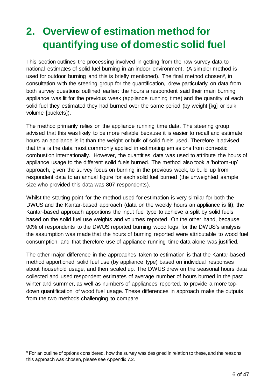# <span id="page-5-0"></span>**2. Overview of estimation method for quantifying use of domestic solid fuel**

This section outlines the processing involved in getting from the raw survey data to national estimates of solid fuel burning in an indoor environment. (A simpler method is used for outdoor burning and this is briefly mentioned). The final method chosen<sup>9</sup>, in consultation with the steering group for the quantification, drew particularly on data from both survey questions outlined earlier: the hours a respondent said their main burning appliance was lit for the previous week (appliance running time) and the quantity of each solid fuel they estimated they had burned over the same period (by weight [kg] or bulk volume [buckets]).

The method primarily relies on the appliance running time data. The steering group advised that this was likely to be more reliable because it is easier to recall and estimate hours an appliance is lit than the weight or bulk of solid fuels used. Therefore it advised that this is the data most commonly applied in estimating emissions from domestic combustion internationally. However, the quantities data was used to attribute the hours of appliance usage to the different solid fuels burned. The method also took a 'bottom-up' approach, given the survey focus on burning in the previous week, to build up from respondent data to an annual figure for each solid fuel burned (the unweighted sample size who provided this data was 807 respondents).

Whilst the starting point for the method used for estimation is very similar for both the DWUS and the Kantar-based approach (data on the weekly hours an appliance is lit), the Kantar-based approach apportions the input fuel type to achieve a split by solid fuels based on the solid fuel use weights and volumes reported. On the other hand, because 90% of respondents to the DWUS reported burning wood logs, for the DWUS's analysis the assumption was made that the hours of burning reported were attributable to wood fuel consumption, and that therefore use of appliance running time data alone was justified.

The other major difference in the approaches taken to estimation is that the Kantar-based method apportioned solid fuel use (by appliance type) based on individual responses about household usage, and then scaled up. The DWUS drew on the seasonal hours data collected and used respondent estimates of average number of hours burned in the past winter and summer, as well as numbers of appliances reported, to provide a more topdown quantification of wood fuel usage. These differences in approach make the outputs from the two methods challenging to compare.

<sup>&</sup>lt;sup>9</sup> For an outline of options considered, how the survey was designed in relation to these, and the reasons this approach was chosen, please see Appendix 7.2.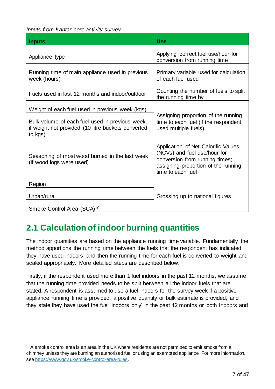*Inputs from Kantar core activity survey*

| <b>Inputs</b>                                                                                                    | <b>Use</b>                                                                                                                                                        |
|------------------------------------------------------------------------------------------------------------------|-------------------------------------------------------------------------------------------------------------------------------------------------------------------|
| Appliance type                                                                                                   | Applying correct fuel use/hour for<br>conversion from running time                                                                                                |
| Running time of main appliance used in previous<br>week (hours)                                                  | Primary variable used for calculation<br>of each fuel used                                                                                                        |
| Fuels used in last 12 months and indoor/outdoor                                                                  | Counting the number of fuels to split<br>the running time by                                                                                                      |
| Weight of each fuel used in previous week (kgs)                                                                  |                                                                                                                                                                   |
| Bulk volume of each fuel used in previous week,<br>if weight not provided (10 litre buckets converted<br>to kgs) | Assigning proportion of the running<br>time to each fuel (if the respondent<br>used multiple fuels)                                                               |
| Seasoning of most wood burned in the last week<br>(if wood logs were used)                                       | Application of Net Calorific Values<br>(NCVs) and fuel use/hour for<br>conversion from running times;<br>assigning proportion of the running<br>time to each fuel |
| Region                                                                                                           |                                                                                                                                                                   |
| Urban/rural                                                                                                      | Grossing up to national figures                                                                                                                                   |
| Smoke Control Area (SCA) <sup>10</sup>                                                                           |                                                                                                                                                                   |

# <span id="page-6-0"></span>**2.1 Calculation of indoor burning quantities**

1

The indoor quantities are based on the appliance running time variable. Fundamentally the method apportions the running time between the fuels that the respondent has indicated they have used indoors, and then the running time for each fuel is converted to weight and scaled appropriately. More detailed steps are described below.

Firstly, if the respondent used more than 1 fuel indoors in the past 12 months, we assume that the running time provided needs to be split between all the indoor fuels that are stated. A respondent is assumed to use a fuel indoors for the survey week if a positive appliance running time is provided, a positive quantity or bulk estimate is provided, and they state they have used the fuel 'indoors only' in the past 12 months or 'both indoors and

<sup>&</sup>lt;sup>10</sup> A smoke control area is an area in the UK where residents are not permitted to emit smoke from a chimney unless they are burning an authorised fuel or using an exempted appliance. For more information, se[e https://www.gov.uk/smoke-control-area-rules](https://www.gov.uk/smoke-control-area-rules).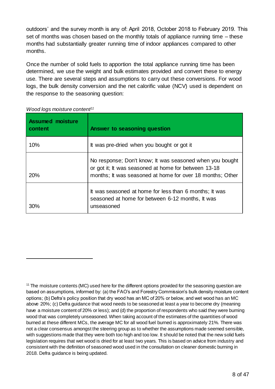outdoors' and the survey month is any of: April 2018, October 2018 to February 2019. This set of months was chosen based on the monthly totals of appliance running time – these months had substantially greater running time of indoor appliances compared to other months.

Once the number of solid fuels to apportion the total appliance running time has been determined, we use the weight and bulk estimates provided and convert these to energy use. There are several steps and assumptions to carry out these conversions. For wood logs, the bulk density conversion and the net calorific value (NCV) used is dependent on the response to the seasoning question:

| <b>Assumed moisture</b><br>∣ content | Answer to seasoning question                                                                                                                                                  |
|--------------------------------------|-------------------------------------------------------------------------------------------------------------------------------------------------------------------------------|
| 10%                                  | It was pre-dried when you bought or got it                                                                                                                                    |
| 20%                                  | No response; Don't know; It was seasoned when you bought<br>or got it; It was seasoned at home for between 13-18<br>months; It was seasoned at home for over 18 months; Other |
| 30%                                  | It was seasoned at home for less than 6 months; It was<br>seasoned at home for between 6-12 months, It was<br>unseasoned                                                      |

|  | Wood logs moisture content <sup>11</sup> |  |
|--|------------------------------------------|--|
|--|------------------------------------------|--|

-

 $11$  The moisture contents (MC) used here for the different options provided for the seasoning question are based on assumptions, informed by: (a) the FAO's and Forestry Commission's bulk density moisture content options; (b) Defra's policy position that dry wood has an MC of 20% or below, and wet wood has an MC above 20%; (c) Defra guidance that wood needs to be seasoned at least a year to become dry (meaning have a moisture content of 20% or less); and (d) the proportion of respondents who said they were burning wood that was completely unseasoned. When taking account of the estimates of the quantities of wood burned at these different MCs, the average MC for all wood fuel burned is approximately 21%. There was not a clear consensus amongst the steering group as to whether the assumptions made seemed sensible, with suggestions made that they were both too high and too low. It should be noted that the new solid fuels legislation requires that wet wood is dried for at least two years. This is based on advice from industry and consistent with the definition of seasoned wood used in the consultation on cleaner domestic burning in 2018. Defra guidance is being updated.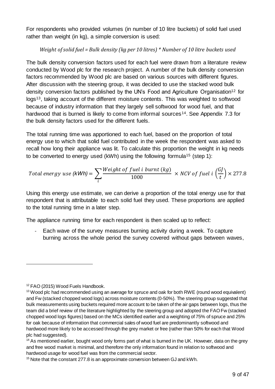For respondents who provided volumes (in number of 10 litre buckets) of solid fuel used rather than weight (in kg), a simple conversion is used:

#### *Weight of solid fuel = Bulk density (kg per 10 litres) \* Number of 10 litre buckets used*

The bulk density conversion factors used for each fuel were drawn from a literature review conducted by Wood plc for the research project. A number of the bulk density conversion factors recommended by Wood plc are based on various sources with different figures. After discussion with the steering group, it was decided to use the stacked wood bulk density conversion factors published by the UN's Food and Agriculture Organisation<sup>12</sup> for logs<sup>13</sup>, taking account of the different moisture contents. This was weighted to softwood because of industry information that they largely sell softwood for wood fuel, and that hardwood that is burned is likely to come from informal sources<sup>14</sup>. See Appendix 7.3 for the bulk density factors used for the different fuels.

The total running time was apportioned to each fuel, based on the proportion of total energy use to which that solid fuel contributed in the week the respondent was asked to recall how long their appliance was lit. To calculate this proportion the weight in kg needs to be converted to energy used (kWh) using the following formula<sup>15</sup> (step 1):

Total energy use 
$$
(kWh) = \sum_{i} \frac{Weight\ of\ fuel\ i\ burnt\ (kg)}{1000} \times NCV\ of\ fuel\ i\ (\frac{GI}{t}) \times 277.8
$$

Using this energy use estimate, we can derive a proportion of the total energy use for that respondent that is attributable to each solid fuel they used. These proportions are applied to the total running time in a later step.

The appliance running time for each respondent is then scaled up to reflect:

- Each wave of the survey measures burning activity during a week. To capture burning across the whole period the survey covered without gaps between waves,

-

<sup>12</sup> FAO (2015) Wood Fuels Handbook.

 $13$  Wood plc had recommended using an average for spruce and oak for both RWE (round wood equivalent) and Fw (stacked chopped wood logs) across moisture contents (0-50%). The steering group suggested that bulk measurements using buckets required more account to be taken of the air gaps between logs, thus the team did a brief review of the literature highlighted by the steering group and adopted the FAO Fw (stacked chopped wood logs figures) based on the MCs identified earlier and a weighting of 75% of spruce and 25% for oak because of information that commercial sales of wood fuel are predominantly softwood and hardwood more likely to be accessed through the grey market or free (rather than 50% for each that Wood plc had suggested).

<sup>&</sup>lt;sup>14</sup> As mentioned earlier, bought wood only forms part of what is burned in the UK. However, data on the grey and free wood market is minimal, and therefore the only information found in relation to softwood and hardwood usage for wood fuel was from the commercial sector.

<sup>&</sup>lt;sup>15</sup> Note that the constant 277.8 is an approximate conversion between GJ and kWh.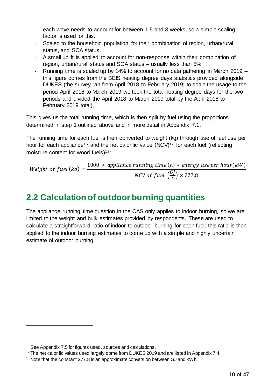each wave needs to account for between 1.5 and 3 weeks, so a simple scaling factor is used for this.

- Scaled to the household population for their combination of region, urban/rural status, and SCA status.
- A small uplift is applied to account for non-response within their combination of region, urban/rural status and SCA status – usually less than 5%.
- Running time is scaled up by 14% to account for no data gathering in March 2019 this figure comes from the BEIS heating degree days statistics provided alongside DUKES (the survey ran from April 2018 to February 2019; to scale the usage to the period April 2018 to March 2019 we took the total heating degree days for the two periods and divided the April 2018 to March 2019 total by the April 2018 to February 2019 total).

This gives us the total running time, which is then split by fuel using the proportions determined in step 1 outlined above and in more detail in Appendix 7.1.

The running time for each fuel is then converted to weight (kg) through use of fuel use per hour for each appliance<sup>16</sup> and the net calorific value (NCV)<sup>17</sup> for each fuel (reflecting moisture content for wood fuels)<sup>18</sup>:

Weight of fuel  $(kg) =$ 1000 \* appliance running time  $(h)$  \* energy use per hour(kW) NCV of fuel  $\left(\frac{GJ}{t}\right)$  $\left(\frac{dy}{t}\right) \times 277.8$ 

# <span id="page-9-0"></span>**2.2 Calculation of outdoor burning quantities**

The appliance running time question in the CAS only applies to indoor burning, so we are limited to the weight and bulk estimates provided by respondents. These are used to calculate a straightforward ratio of indoor to outdoor burning for each fuel; this ratio is then applied to the indoor burning estimates to come up with a simple and highly uncertain estimate of outdoor burning.

<sup>16</sup> See Appendix 7.5 for figures used, sources and calculations.

<sup>&</sup>lt;sup>17</sup> The net calorific values used largely come from DUKES 2019 and are listed in Appendix 7.4.

<sup>&</sup>lt;sup>18</sup> Note that the constant 277.8 is an approximate conversion between GJ and kWh.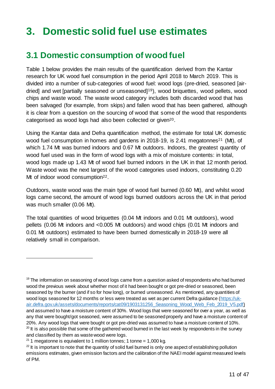# <span id="page-10-0"></span>**3. Domestic solid fuel use estimates**

## <span id="page-10-1"></span>**3.1 Domestic consumption of wood fuel**

Table 1 below provides the main results of the quantification derived from the Kantar research for UK wood fuel consumption in the period April 2018 to March 2019. This is divided into a number of sub-categories of wood fuel: wood logs (pre-dried, seasoned [airdried] and wet [partially seasoned or unseasoned]19), wood briquettes, wood pellets, wood chips and waste wood. The waste wood category includes both discarded wood that has been salvaged (for example, from skips) and fallen wood that has been gathered, although it is clear from a question on the sourcing of wood that some of the wood that respondents categorised as wood logs had also been collected or given20.

Using the Kantar data and Defra quantification method, the estimate for total UK domestic wood fuel consumption in homes and gardens in 2018-19, is 2.41 megatonnes<sup>21</sup> (Mt), of which 1.74 Mt was burned indoors and 0.67 Mt outdoors. Indoors, the greatest quantity of wood fuel used was in the form of wood logs with a mix of moisture contents: in total, wood logs made up 1.43 Mt of wood fuel burned indoors in the UK in that 12 month period. Waste wood was the next largest of the wood categories used indoors, constituting 0.20 Mt of indoor wood consumption<sup>22</sup>.

Outdoors, waste wood was the main type of wood fuel burned (0.60 Mt), and whilst wood logs came second, the amount of wood logs burned outdoors across the UK in that period was much smaller (0.06 Mt).

The total quantities of wood briquettes (0.04 Mt indoors and 0.01 Mt outdoors), wood pellets (0.06 Mt indoors and <0.005 Mt outdoors) and wood chips (0.01 Mt indoors and 0.01 Mt outdoors) estimated to have been burned domestically in 2018-19 were all relatively small in comparison.

 $19$  The information on seasoning of wood logs came from a question asked of respondents who had burned wood the previous week about whether most of it had been bought or got pre-dried or seasoned, been seasoned by the burner (and if so for how long), or burned unseasoned. As mentioned, any quantities of wood logs seasoned for 12 months or less were treated as wet as per current Defra guidance [\(https://uk](https://uk-air.defra.gov.uk/assets/documents/reports/cat09/1903131256_Seasoning_Wood_Web_Feb_2019_V5.pdf)[air.defra.gov.uk/assets/documents/reports/cat09/1903131256\\_Seasoning\\_Wood\\_Web\\_Feb\\_2019\\_V5.pdf](https://uk-air.defra.gov.uk/assets/documents/reports/cat09/1903131256_Seasoning_Wood_Web_Feb_2019_V5.pdf)) and assumed to have a moisture content of 30%. Wood logs that were seasoned for over a year, as well as any that were bought/got seasoned, were assumed to be seasoned properly and have a moisture content of 20%. Any wood logs that were bought or got pre-dried was assumed to have a moisture content of 10%.  $20$  It is also possible that some of the gathered wood burned in the last week by respondents in the survey and classified by them as waste wood were logs.

<sup>&</sup>lt;sup>21</sup> 1 megatonne is equivalent to 1 million tonnes; 1 tonne = 1,000 kg.

 $^{22}$  It is important to note that the quantity of solid fuel burned is only one aspect of establishing pollution emissions estimates, given emission factors and the calibration of the NAEI model against measured levels of PM.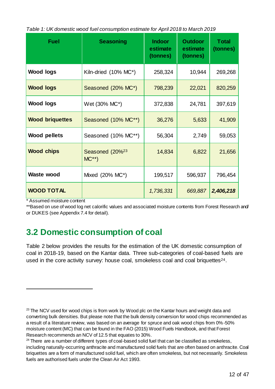|  | Table 1: UK domestic wood fuel consumption estimate for April 2018 to March 2019 |  |
|--|----------------------------------------------------------------------------------|--|
|--|----------------------------------------------------------------------------------|--|

| <b>Fuel</b>            | <b>Seasoning</b>                      | <b>Indoor</b><br>estimate<br>(tonnes) | <b>Outdoor</b><br>estimate<br>(tonnes) | <b>Total</b><br>(tonnes) |
|------------------------|---------------------------------------|---------------------------------------|----------------------------------------|--------------------------|
| <b>Wood logs</b>       | Kiln-dried (10% MC*)                  | 258,324                               | 10,944                                 | 269,268                  |
| <b>Wood logs</b>       | Seasoned (20% MC*)                    | 798,239                               | 22,021                                 | 820,259                  |
| <b>Wood logs</b>       | Wet (30% MC*)                         | 372,838                               | 24,781                                 | 397,619                  |
| <b>Wood briquettes</b> | Seasoned (10% MC**)                   | 36,276                                | 5,633                                  | 41,909                   |
| <b>Wood pellets</b>    | Seasoned (10% MC**)                   | 56,304                                | 2,749                                  | 59,053                   |
| <b>Wood chips</b>      | Seasoned (20% <sup>23</sup><br>$MC**$ | 14,834                                | 6,822                                  | 21,656                   |
| <b>Waste wood</b>      | Mixed (20% MC*)                       | 199,517                               | 596,937                                | 796,454                  |
| <b>WOOD TOTAL</b>      |                                       | 1,736,331                             | 669,887                                | 2,406,218                |

\* Assumed moisture content

-

\*\*Based on use of wood log net calorific values and associated moisture contents from Forest Research and/ or DUKES (see Appendix 7.4 for detail).

## <span id="page-11-0"></span>**3.2 Domestic consumption of coal**

Table 2 below provides the results for the estimation of the UK domestic consumption of coal in 2018-19, based on the Kantar data. Three sub-categories of coal-based fuels are used in the core activity survey: house coal, smokeless coal and coal briquettes<sup>24</sup>.

 $23$  The NCV used for wood chips is from work by Wood plc on the Kantar hours and weight data and converting bulk densities. But please note that the bulk density conversion for wood chips recommended as a result of a literature review, was based on an average for spruce and oak wood chips from 0%-50% moisture content (MC) that can be found in the FAO (2015) Wood Fuels Handbook, and that Forest Research recommends an NCV of 12.5 that equates to 30%.

 $24$  There are a number of different types of coal-based solid fuel that can be classified as smokeless, including naturally-occurring anthracite and manufactured solid fuels that are often based on anthracite. Coal briquettes are a form of manufactured solid fuel, which are often smokeless, but not necessarily. Smokeless fuels are authorised fuels under the Clean Air Act 1993.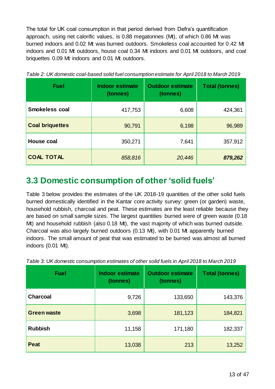The total for UK coal consumption in that period derived from Defra's quantification approach, using net calorific values, is 0.88 megatonnes (Mt), of which 0.86 Mt was burned indoors and 0.02 Mt was burned outdoors. Smokeless coal accounted for 0.42 Mt indoors and 0.01 Mt outdoors, house coal 0.34 Mt indoors and 0.01 Mt outdoors, and coal briquettes 0.09 Mt indoors and 0.01 Mt outdoors.

| <b>Fuel</b>            | <b>Indoor estimate</b><br>(tonnes) | <b>Outdoor estimate</b><br>(tonnes) | <b>Total (tonnes)</b> |
|------------------------|------------------------------------|-------------------------------------|-----------------------|
| <b>Smokeless coal</b>  | 417,753                            | 6,608                               | 424,361               |
| <b>Coal briquettes</b> | 90,791                             | 6,198                               | 96,989                |
| <b>House coal</b>      | 350,271                            | 7,641                               | 357,912               |
| <b>COAL TOTAL</b>      | 858,816                            | 20,446                              | 879,262               |

*Table 2: UK domestic coal-based solid fuel consumption estimate for April 2018 to March 2019*

## <span id="page-12-0"></span>**3.3 Domestic consumption of other 'solid fuels'**

Table 3 below provides the estimates of the UK 2018-19 quantities of the other solid fuels burned domestically identified in the Kantar core activity survey: green (or garden) waste, household rubbish, charcoal and peat. These estimates are the least reliable because they are based on small sample sizes. The largest quantities burned were of green waste (0.18 Mt) and household rubbish (also 0.18 Mt), the vast majority of which was burned outside. Charcoal was also largely burned outdoors (0.13 Mt), with 0.01 Mt apparently burned indoors. The small amount of peat that was estimated to be burned was almost all burned indoors (0.01 Mt).

| <b>Fuel</b>        | <b>Indoor estimate</b><br>(tonnes) | <b>Outdoor estimate</b><br>(tonnes) | <b>Total (tonnes)</b> |
|--------------------|------------------------------------|-------------------------------------|-----------------------|
| <b>Charcoal</b>    | 9,726                              | 133,650                             | 143,376               |
| <b>Green waste</b> | 3,698                              | 181,123                             | 184,821               |
| <b>Rubbish</b>     | 11,158                             | 171,180                             | 182,337               |
| <b>Peat</b>        | 13,038                             | 213                                 | 13,252                |

*Table 3: UK domestic consumption estimates of other solid fuels in April 2018 to March 2019*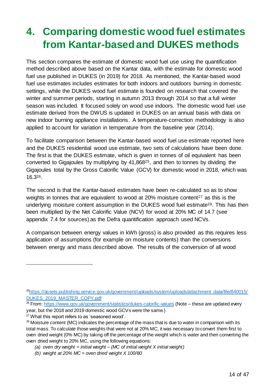# <span id="page-13-0"></span>**4. Comparing domestic wood fuel estimates from Kantar-based and DUKES methods**

This section compares the estimate of domestic wood fuel use using the quantification method described above based on the Kantar data, with the estimate for domestic wood fuel use published in DUKES (in 2019) for 2018. As mentioned, the Kantar-based wood fuel use estimates includes estimates for both indoors and outdoors burning in domestic settings, while the DUKES wood fuel estimate is founded on research that covered the winter and summer periods, starting in autumn 2013 through 2014 so that a full winter season was included. It focused solely on wood use indoors. The domestic wood fuel use estimate derived from the DWUS is updated in DUKES on an annual basis with data on new indoor burning appliance installations. A temperature-correction methodology is also applied to account for variation in temperature from the baseline year (2014).

To facilitate comparison between the Kantar-based wood fuel use estimate reported here and the DUKES residential wood use estimate, two sets of calculations have been done. The first is that the DUKES estimate, which is given in tonnes of oil equivalent has been converted to Gigajoules by multiplying by 41,86825, and then to tonnes by dividing the Gigajoules total by the Gross Calorific Value (GCV) for domestic wood in 2018, which was 16.326.

The second is that the Kantar-based estimates have been re-calculated so as to show weights in tonnes that are equivalent to wood at 20% moisture content<sup>27</sup> as this is the underlying moisture content assumption in the DUKES wood fuel estimate<sup>28</sup>. This has then been multiplied by the Net Calorific Value (NCV) for wood at 20% MC of 14.7 (see appendix 7.4 for sources) as the Defra quantification approach used NCVs.

A comparison between energy values in kWh (gross) is also provided as this requires less application of assumptions (for example on moisture contents) than the conversions between energy and mass described above. The results of the conversion of all wood

<sup>&</sup>lt;sup>25</sup>[https://assets.publishing.service.gov.uk/government/uploads/system/uploads/attachment\\_data/file/840015/](https://assets.publishing.service.gov.uk/government/uploads/system/uploads/attachment_data/file/840015/DUKES_2019_MASTER_COPY.pdf) [DUKES\\_2019\\_MASTER\\_COPY.pdf](https://assets.publishing.service.gov.uk/government/uploads/system/uploads/attachment_data/file/840015/DUKES_2019_MASTER_COPY.pdf)

<sup>&</sup>lt;sup>26</sup> From:<https://www.gov.uk/government/statistics/dukes-calorific-values> (Note -- these are updated every year, but the 2018 and 2019 domestic wood GCVs were the same.)

 $27$  What this report refers to as 'seasoned wood'.

 $^{28}$  Moisture content (MC) indicates the percentage of the mass that is due to water in comparison with its total mass. To calculate those weights that were not at 20% MC, it was necessary to convert them first to oven dried weight (0% MC) by taking off the percentage of the weight which is water and then converting the oven dried weight to 20% MC, using the following equations:

*<sup>(</sup>a) oven dry weight = initial weight – (MC of initial weight X initial weight)* 

*<sup>(</sup>b) weight at 20% MC = oven dried weight X 100/80*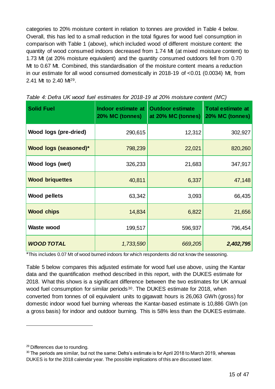categories to 20% moisture content in relation to tonnes are provided in Table 4 below. Overall, this has led to a small reduction in the total figures for wood fuel consumption in comparison with Table 1 (above), which included wood of different moisture content: the quantity of wood consumed indoors decreased from 1.74 Mt (at mixed moisture content) to 1.73 Mt (at 20% moisture equivalent) and the quantity consumed outdoors fell from 0.70 Mt to 0.67 Mt. Combined, this standardisation of the moisture content means a reduction in our estimate for all wood consumed domestically in 2018-19 of <0.01 (0.0034) Mt, from 2.41 Mt to 2.40 Mt29.

| <b>Solid Fuel</b>            | Indoor estimate at<br>20% MC (tonnes) | <b>Outdoor estimate</b><br>at 20% MC (tonnes) | <b>Total estimate at</b><br>20% MC (tonnes) |
|------------------------------|---------------------------------------|-----------------------------------------------|---------------------------------------------|
| <b>Wood logs (pre-dried)</b> | 290,615                               | 12,312                                        | 302,927                                     |
| Wood logs (seasoned)*        | 798,239                               | 22,021                                        | 820,260                                     |
| Wood logs (wet)              | 326,233                               | 21,683                                        | 347,917                                     |
| <b>Wood briquettes</b>       | 40,811                                | 6,337                                         | 47,148                                      |
| <b>Wood pellets</b>          | 63,342                                | 3,093                                         | 66,435                                      |
| <b>Wood chips</b>            | 14,834                                | 6,822                                         | 21,656                                      |
| <b>Waste wood</b>            | 199,517                               | 596,937                                       | 796,454                                     |
| <b>WOOD TOTAL</b>            | 1,733,590                             | 669,205                                       | 2,402,795                                   |

| Table 4: Defra UK wood fuel estimates for 2018-19 at 20% moisture content (MC) |  |  |  |  |
|--------------------------------------------------------------------------------|--|--|--|--|
|                                                                                |  |  |  |  |

\*This includes 0.07 Mt of wood burned indoors for which respondents did not know the seasoning.

Table 5 below compares this adjusted estimate for wood fuel use above, using the Kantar data and the quantification method described in this report, with the DUKES estimate for 2018. What this shows is a significant difference between the two estimates for UK annual wood fuel consumption for similar periods<sup>30</sup>. The DUKES estimate for 2018, when converted from tonnes of oil equivalent units to gigawatt hours is 26,063 GWh (gross) for domestic indoor wood fuel burning whereas the Kantar-based estimate is 10,886 GWh (on a gross basis) for indoor and outdoor burning. This is 58% less than the DUKES estimate.

<sup>29</sup> Differences due to rounding.

<sup>&</sup>lt;sup>30</sup> The periods are similar, but not the same: Defra's estimate is for April 2018 to March 2019, whereas DUKES is for the 2018 calendar year. The possible implications of this are discussed later.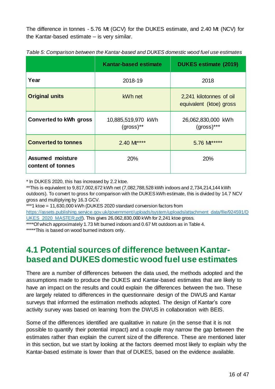The difference in tonnes - 5.76 Mt (GCV) for the DUKES estimate, and 2.40 Mt (NCV) for the Kantar-based estimate – is very similar.

|                                              | <b>Kantar-based estimate</b>      | <b>DUKES estimate (2019)</b>                       |  |
|----------------------------------------------|-----------------------------------|----------------------------------------------------|--|
| Year                                         | 2018-19                           | 2018                                               |  |
| <b>Original units</b>                        | kWh net                           | 2,241 kilotonnes of oil<br>equivalent (ktoe) gross |  |
| <b>Converted to kWh gross</b>                | 10,885,519,970 kWh<br>$(gross)**$ | 26,062,830,000 kWh<br>$(gross)***$                 |  |
| <b>Converted to tonnes</b>                   | 2.40 M****                        | 5.76 M <sup>*****</sup>                            |  |
| <b>Assumed moisture</b><br>content of tonnes | 20%                               | 20%                                                |  |

*Table 5: Comparison between the Kantar-based and DUKES domestic wood fuel use estimates*

\* In DUKES 2020, this has increased by 2.2 ktoe.

\*\*This is equivalent to 9,817,002,672 kWh net (7,082,788,528 kWh indoors and 2,734,214,144 kWh outdoors). To convert to gross for comparison with the DUKES kWh estimate, this is divided by 14.7 NCV gross and multiplying by 16.3 GCV.

\*\*\*1 ktoe = 11,630,000 kWh (DUKES 2020 standard conversion factors from

[https://assets.publishing.service.gov.uk/government/uploads/system/uploads/attachment\\_data/file/924591/D](https://assets.publishing.service.gov.uk/government/uploads/system/uploads/attachment_data/file/924591/DUKES_2020_MASTER.pdf) UKES 2020 MASTER.pdf). This gives 26,062,830,000 kWh for 2,241 ktoe gross.

\*\*\*\*Of which approximately 1.73 Mt burned indoors and 0.67 Mt outdoors as in Table 4.

\*\*\*\*\*This is based on wood burned indoors only.

## <span id="page-15-0"></span>**4.1 Potential sourcesof difference between Kantarbased and DUKES domestic wood fuel use estimates**

There are a number of differences between the data used, the methods adopted and the assumptions made to produce the DUKES and Kantar-based estimates that are likely to have an impact on the results and could explain the differences between the two. These are largely related to differences in the questionnaire design of the DWUS and Kantar surveys that informed the estimation methods adopted. The design of Kantar's core activity survey was based on learning from the DWUS in collaboration with BEIS.

Some of the differences identified are qualitative in nature (in the sense that it is not possible to quantify their potential impact) and a couple may narrow the gap between the estimates rather than explain the current size of the difference. These are mentioned later in this section, but we start by looking at the factors deemed most likely to explain why the Kantar-based estimate is lower than that of DUKES, based on the evidence available.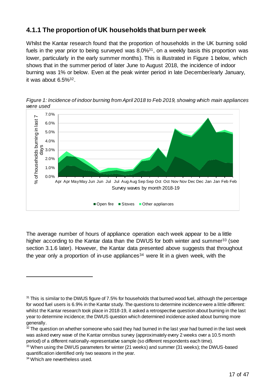## **4.1.1 The proportion of UK households that burn per week**

Whilst the Kantar research found that the proportion of households in the UK burning solid fuels in the year prior to being surveyed was 8.0%<sup>31</sup>, on a weekly basis this proportion was lower, particularly in the early summer months). This is illustrated in Figure 1 below, which shows that in the summer period of later June to August 2018, the incidence of indoor burning was 1% or below. Even at the peak winter period in late December/early January, it was about 6.5%32.



*Figure 1: Incidence of indoor burning from April 2018 to Feb 2019, showing which main appliances were used*

The average number of hours of appliance operation each week appear to be a little higher according to the Kantar data than the DWUS for both winter and summer<sup>33</sup> (see section 3.1.6 later). However, the Kantar data presented above suggests that throughout the year only a proportion of in-use appliances<sup>34</sup> were lit in a given week, with the

<sup>&</sup>lt;sup>31</sup> This is similar to the DWUS figure of 7.5% for households that burned wood fuel, although the percentage for wood fuel users is 6.9% in the Kantar study. The questions to determine incidence were a little different: whilst the Kantar research took place in 2018-19, it asked a retrospective question about burning in the last year to determine incidence; the DWUS question which determined incidence asked about burning more generally.

 $32$  The question on whether someone who said they had burned in the last year had burned in the last week was asked every wave of the Kantar omnibus survey (approximately every 2 weeks over a 10.5 month period) of a different nationally-representative sample (so different respondents each time).

<sup>33</sup> When using the DWUS parameters for winter (21 weeks) and summer (31 weeks); the DWUS-based quantification identified only two seasons in the year.

<sup>34</sup> Which are nevertheless used.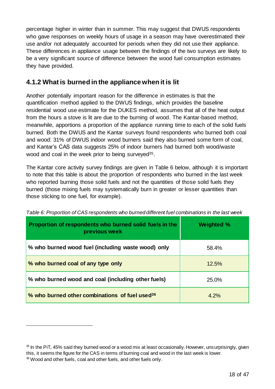percentage higher in winter than in summer. This may suggest that DWUS respondents who gave responses on weekly hours of usage in a season may have overestimated their use and/or not adequately accounted for periods when they did not use their appliance. These differences in appliance usage between the findings of the two surveys are likely to be a very significant source of difference between the wood fuel consumption estimates they have provided.

## **4.1.2 What is burned in the appliance when it is lit**

Another potentially important reason for the difference in estimates is that the quantification method applied to the DWUS findings, which provides the baseline residential wood use estimate for the DUKES method, assumes that all of the heat output from the hours a stove is lit are due to the burning of wood. The Kantar-based method, meanwhile, apportions a proportion of the appliance running time to each of the solid fuels burned. Both the DWUS and the Kantar surveys found respondents who burned both coal and wood: 31% of DWUS indoor wood burners said they also burned some form of coal, and Kantar's CAS data suggests 25% of indoor burners had burned both wood/waste wood and coal in the week prior to being surveyed<sup>35</sup>.

The Kantar core activity survey findings are given in Table 6 below, although it is important to note that this table is about the proportion of respondents who burned in the last week who reported burning those solid fuels and not the quantities of those solid fuels they burned (those mixing fuels may systematically burn in greater or lesser quantities than those sticking to one fuel, for example).

| Proportion of respondents who burned solid fuels in the<br>previous week | <b>Weighted %</b> |
|--------------------------------------------------------------------------|-------------------|
| % who burned wood fuel (including waste wood) only                       | 58.4%             |
| % who burned coal of any type only                                       | 12.5%             |
| % who burned wood and coal (including other fuels)                       | 25.0%             |
| % who burned other combinations of fuel used <sup>36</sup>               | 4.2%              |

| Table 6: Proportion of CAS respondents who burned different fuel combinations in the last week |
|------------------------------------------------------------------------------------------------|
|------------------------------------------------------------------------------------------------|

<sup>&</sup>lt;sup>35</sup> In the PiT, 45% said they burned wood or a wood mix at least occasionally. However, unsurprisingly, given this, it seems the figure for the CAS in terms of burning coal and wood in the last week is lower. <sup>36</sup> Wood and other fuels, coal and other fuels, and other fuels only.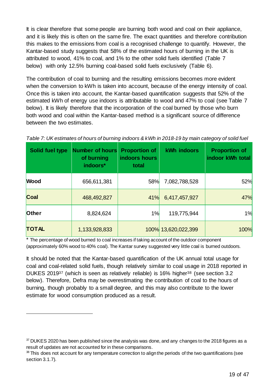It is clear therefore that some people are burning both wood and coal on their appliance, and it is likely this is often on the same fire. The exact quantities and therefore contribution this makes to the emissions from coal is a recognised challenge to quantify. However, the Kantar-based study suggests that 58% of the estimated hours of burning in the UK is attributed to wood, 41% to coal, and 1% to the other solid fuels identified (Table 7 below) with only 12.5% burning coal-based solid fuels exclusively (Table 6).

The contribution of coal to burning and the resulting emissions becomes more evident when the conversion to kWh is taken into account, because of the energy intensity of coal. Once this is taken into account, the Kantar-based quantification suggests that 52% of the estimated kWh of energy use indoors is attributable to wood and 47% to coal (see Table 7 below). It is likely therefore that the incorporation of the coal burned by those who burn both wood and coal within the Kantar-based method is a significant source of difference between the two estimates.

| Solid fuel type | <b>Number of hours</b><br>of burning<br>indoors* | <b>Proportion of</b><br>indoors hours<br>total | kWh indoors         | <b>Proportion of</b><br>indoor kWh total |
|-----------------|--------------------------------------------------|------------------------------------------------|---------------------|------------------------------------------|
| <b>Wood</b>     | 656,611,381                                      | <b>58%</b>                                     | 7,082,788,528       | 52%                                      |
| Coal            | 468,492,827                                      | 41%                                            | 6,417,457,927       | 47%                                      |
| <b>Other</b>    | 8,824,624                                        | 1%                                             | 119,775,944         | 1%                                       |
| <b>TOTAL</b>    | 1,133,928,833                                    |                                                | 100% 13,620,022,399 | 100%                                     |

*Table 7: UK estimates of hours of burning indoors & kWh in 2018-19 by main category of solid fuel*

\* The percentage of wood burned to coal increases if taking account of the outdoor component (approximately 60% wood to 40% coal). The Kantar survey suggested very little coal is burned outdoors.

It should be noted that the Kantar-based quantification of the UK annual total usage for coal and coal-related solid fuels, though relatively similar to coal usage in 2018 reported in DUKES 2019<sup>37</sup> (which is seen as relatively reliable) is 16% higher<sup>38</sup> (see section 3.2 below). Therefore, Defra may be overestimating the contribution of coal to the hours of burning, though probably to a small degree, and this may also contribute to the lower estimate for wood consumption produced as a result.

 $37$  DUKES 2020 has been published since the analysis was done, and any changes to the 2018 figures as a result of updates are not accounted for in these comparisons.

<sup>&</sup>lt;sup>38</sup> This does not account for any temperature correction to align the periods of the two quantifications (see section 3.1.7).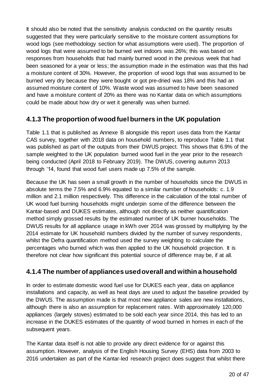It should also be noted that the sensitivity analysis conducted on the quantity results suggested that they were particularly sensitive to the moisture content assumptions for wood logs (see methodology section for what assumptions were used). The proportion of wood logs that were assumed to be burned wet indoors was 26%; this was based on responses from households that had mainly burned wood in the previous week that had been seasoned for a year or less; the assumption made in the estimation was that this had a moisture content of 30%. However, the proportion of wood logs that was assumed to be burned very dry because they were bought or got pre-dried was 18% and this had an assumed moisture content of 10%. Waste wood was assumed to have been seasoned and have a moisture content of 20% as there was no Kantar data on which assumptions could be made about how dry or wet it generally was when burned.

## **4.1.3 The proportion of wood fuel burners in the UK population**

Table 1.1 that is published as Annexe B alongside this report uses data from the Kantar CAS survey, together with 2018 data on household numbers, to reproduce Table 1.1 that was published as part of the outputs from their DWUS project. This shows that 6.9% of the sample weighted to the UK population burned wood fuel in the year prior to the research being conducted (April 2018 to February 2019). The DWUS, covering autumn 2013 through '14, found that wood fuel users made up 7.5% of the sample.

Because the UK has seen a small growth in the number of households since the DWUS in absolute terms the 7.5% and 6.9% equated to a similar number of households: c. 1.9 million and 2.1 million respectively. This difference in the calculation of the total number of UK wood fuel burning households might underpin some of the difference between the Kantar-based and DUKES estimates, although not directly as neither quantification method simply grossed results by the estimated number of UK burner households. The DWUS results for all appliance usage in kWh over 2014 was grossed by multiplying by the 2014 estimate for UK household numbers divided by the number of survey respondents, whilst the Defra quantification method used the survey weighting to calculate the percentages who burned which was then applied to the UK household projection. It is therefore not clear how significant this potential source of difference may be, if at all.

### **4.1.4 The number of appliances used overall and within a household**

In order to estimate domestic wood fuel use for DUKES each year, data on appliance installations and capacity, as well as heat days are used to adjust the baseline provided by the DWUS. The assumption made is that most new appliance sales are new installations, although there is also an assumption for replacement rates. With approximately 120,000 appliances (largely stoves) estimated to be sold each year since 2014, this has led to an increase in the DUKES estimates of the quantity of wood burned in homes in each of the subsequent years.

The Kantar data itself is not able to provide any direct evidence for or against this assumption. However, analysis of the English Housing Survey (EHS) data from 2003 to 2016 undertaken as part of the Kantar-led research project does suggest that whilst there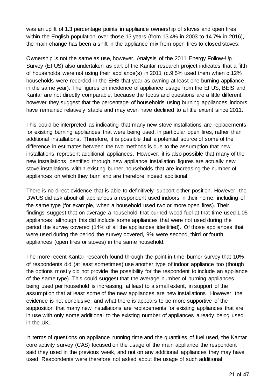was an uplift of 1.3 percentage points in appliance ownership of stoves and open fires within the English population over those 13 years (from 13.4% in 2003 to 14.7% in 2016), the main change has been a shift in the appliance mix from open fires to closed stoves.

Ownership is not the same as use, however. Analysis of the 2011 Energy Follow-Up Survey (EFUS) also undertaken as part of the Kantar research project indicates that a fifth of households were not using their appliance(s) in 2011 (c.9.5% used them when c.12% households were recorded in the EHS that year as owning at least one burning appliance in the same year). The figures on incidence of appliance usage from the EFUS, BEIS and Kantar are not directly comparable, because the focus and questions are a little different; however they suggest that the percentage of households using burning appliances indoors have remained relatively stable and may even have declined to a little extent since 2011.

This could be interpreted as indicating that many new stove installations are replacements for existing burning appliances that were being used, in particular open fires, rather than additional installations. Therefore, it is possible that a potential source of some of the difference in estimates between the two methods is due to the assumption that new installations represent additional appliances. However, it is also possible that many of the new installations identified through new appliance installation figures are actually new stove installations within existing burner households that are increasing the number of appliances on which they burn and are therefore indeed additional.

There is no direct evidence that is able to definitively support either position. However, the DWUS did ask about all appliances a respondent used indoors in their home, including of the same type (for example, when a household used two or more open fires). Their findings suggest that on average a household that burned wood fuel at that time used 1.05 appliances, although this did include some appliances that were not used during the period the survey covered (14% of all the appliances identified). Of those appliances that were used during the period the survey covered, 9% were second, third or fourth appliances (open fires or stoves) in the same household.

The more recent Kantar research found through the point-in-time burner survey that 10% of respondents did (at least sometimes) use another type of indoor appliance too (though the options mostly did not provide the possibility for the respondent to include an appliance of the same type). This could suggest that the average number of burning appliances being used per household is increasing, at least to a small extent, in support of the assumption that at least some of the new appliances are new installations. However, the evidence is not conclusive, and what there is appears to be more supportive of the supposition that many new installations are replacements for existing appliances that are in use with only some additional to the existing number of appliances already being used in the UK.

In terms of questions on appliance running time and the quantities of fuel used, the Kantar core activity survey (CAS) focused on the usage of the main appliance the respondent said they used in the previous week, and not on any additional appliances they may have used. Respondents were therefore not asked about the usage of such additional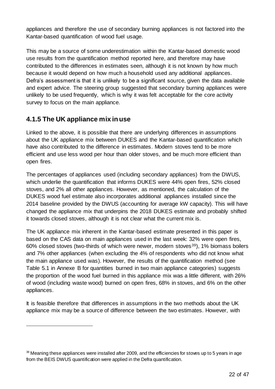appliances and therefore the use of secondary burning appliances is not factored into the Kantar-based quantification of wood fuel usage.

This may be a source of some underestimation within the Kantar-based domestic wood use results from the quantification method reported here, and therefore may have contributed to the differences in estimates seen, although it is not known by how much because it would depend on how much a household used any additional appliances. Defra's assessment is that it is unlikely to be a significant source, given the data available and expert advice. The steering group suggested that secondary burning appliances were unlikely to be used frequently, which is why it was felt acceptable for the core activity survey to focus on the main appliance.

### **4.1.5 The UK appliance mix in use**

1

Linked to the above, it is possible that there are underlying differences in assumptions about the UK appliance mix between DUKES and the Kantar-based quantification which have also contributed to the difference in estimates. Modern stoves tend to be more efficient and use less wood per hour than older stoves, and be much more efficient than open fires.

The percentages of appliances used (including secondary appliances) from the DWUS, which underlie the quantification that informs DUKES were 44% open fires, 52% closed stoves, and 2% all other appliances. However, as mentioned, the calculation of the DUKES wood fuel estimate also incorporates additional appliances installed since the 2014 baseline provided by the DWUS (accounting for average kW capacity). This will have changed the appliance mix that underpins the 2018 DUKES estimate and probably shifted it towards closed stoves, although it is not clear what the current mix is.

The UK appliance mix inherent in the Kantar-based estimate presented in this paper is based on the CAS data on main appliances used in the last week: 32% were open fires, 60% closed stoves (two-thirds of which were newer, modern stoves39), 1% biomass boilers and 7% other appliances (when excluding the 4% of respondents who did not know what the main appliance used was). However, the results of the quantification method (see Table 5.1 in Annexe B for quantities burned in two main appliance categories) suggests the proportion of the wood fuel burned in this appliance mix was a little different, with 26% of wood (including waste wood) burned on open fires, 68% in stoves, and 6% on the other appliances.

It is feasible therefore that differences in assumptions in the two methods about the UK appliance mix may be a source of difference between the two estimates. However, with

<sup>39</sup> Meaning these appliances were installed after 2009, and the efficiencies for stoves up to 5 years in age from the BEIS DWUS quantification were applied in the Defra quantification.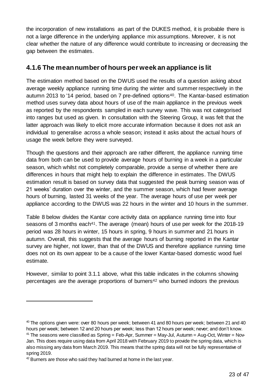the incorporation of new installations as part of the DUKES method, it is probable there is not a large difference in the underlying appliance mix assumptions. Moreover, it is not clear whether the nature of any difference would contribute to increasing or decreasing the gap between the estimates.

### **4.1.6 The meannumber of hours per week an appliance is lit**

The estimation method based on the DWUS used the results of a question asking about average weekly appliance running time during the winter and summer respectively in the autumn 2013 to '14 period, based on 7 pre-defined options<sup>40</sup>. The Kantar-based estimation method uses survey data about hours of use of the main appliance in the previous week as reported by the respondents sampled in each survey wave. This was not categorised into ranges but used as given. In consultation with the Steering Group, it was felt that the latter approach was likely to elicit more accurate information because it does not ask an individual to generalise across a whole season; instead it asks about the actual hours of usage the week before they were surveyed.

Though the questions and their approach are rather different, the appliance running time data from both can be used to provide average hours of burning in a week in a particular season, which whilst not completely comparable, provide a sense of whether there are differences in hours that might help to explain the difference in estimates. The DWUS estimation result is based on survey data that suggested the peak burning season was of 21 weeks' duration over the winter, and the summer season, which had fewer average hours of burning, lasted 31 weeks of the year. The average hours of use per week per appliance according to the DWUS was 22 hours in the winter and 10 hours in the summer.

Table 8 below divides the Kantar core activity data on appliance running time into four seasons of 3 months each<sup>41</sup>. The average (mean) hours of use per week for the 2018-19 period was 28 hours in winter, 15 hours in spring, 9 hours in summer and 21 hours in autumn. Overall, this suggests that the average hours of burning reported in the Kantar survey are higher, not lower, than that of the DWUS and therefore appliance running time does not on its own appear to be a cause of the lower Kantar-based domestic wood fuel estimate.

However, similar to point 3.1.1 above, what this table indicates in the columns showing percentages are the average proportions of burners<sup>42</sup> who burned indoors the previous

<sup>&</sup>lt;sup>40</sup> The options given were: over 80 hours per week; between 41 and 80 hours per week; between 21 and 40 hours per week; between 12 and 20 hours per week; less than 12 hours per week; never; and don't know. <sup>41</sup> The seasons were classified as Spring = Feb-Apr, Summer = May-Jul, Autumn = Aug-Oct, Winter = Nov-Jan. This does require using data from April 2018 with February 2019 to provide the spring data, which is also missing any data from March 2019. This means that the spring data will not be fully representative of spring 2019.

 $42$  Burners are those who said they had burned at home in the last year.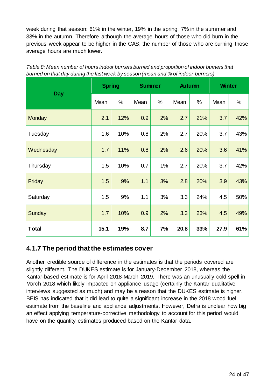week during that season: 61% in the winter, 19% in the spring, 7% in the summer and 33% in the autumn. Therefore although the average hours of those who did burn in the previous week appear to be higher in the CAS, the number of those who are burning those average hours are much lower.

|               | <b>Spring</b> |      | <b>Summer</b> |      | <b>Autumn</b> |      | <b>Winter</b> |     |
|---------------|---------------|------|---------------|------|---------------|------|---------------|-----|
| <b>Day</b>    | Mean          | $\%$ | Mean          | $\%$ | Mean          | $\%$ | Mean          | %   |
| <b>Monday</b> | 2.1           | 12%  | 0.9           | 2%   | 2.7           | 21%  | 3.7           | 42% |
| Tuesday       | 1.6           | 10%  | 0.8           | 2%   | 2.7           | 20%  | 3.7           | 43% |
| Wednesday     | 1.7           | 11%  | 0.8           | 2%   | 2.6           | 20%  | 3.6           | 41% |
| Thursday      | 1.5           | 10%  | 0.7           | 1%   | 2.7           | 20%  | 3.7           | 42% |
| Friday        | 1.5           | 9%   | 1.1           | 3%   | 2.8           | 20%  | 3.9           | 43% |
| Saturday      | 1.5           | 9%   | 1.1           | 3%   | 3.3           | 24%  | 4.5           | 50% |
| <b>Sunday</b> | 1.7           | 10%  | 0.9           | 2%   | 3.3           | 23%  | 4.5           | 49% |
| <b>Total</b>  | 15.1          | 19%  | 8.7           | 7%   | 20.8          | 33%  | 27.9          | 61% |

*Table 8: Mean number of hours indoor burners burned and proportion of indoor burners that burned on that day during the last week by season (mean and % of indoor burners)*

### **4.1.7 The period that the estimates cover**

Another credible source of difference in the estimates is that the periods covered are slightly different. The DUKES estimate is for January-December 2018, whereas the Kantar-based estimate is for April 2018-March 2019. There was an unusually cold spell in March 2018 which likely impacted on appliance usage (certainly the Kantar qualitative interviews suggested as much) and may be a reason that the DUKES estimate is higher. BEIS has indicated that it did lead to quite a significant increase in the 2018 wood fuel estimate from the baseline and appliance adjustments. However, Defra is unclear how big an effect applying temperature-corrective methodology to account for this period would have on the quantity estimates produced based on the Kantar data.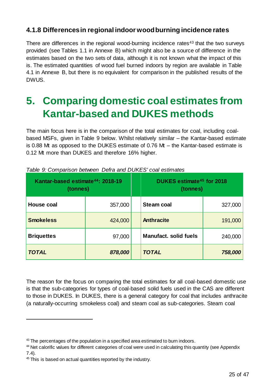### **4.1.8 Differences in regional indoor wood burning incidence rates**

There are differences in the regional wood-burning incidence rates<sup>43</sup> that the two surveys provided (see Tables 1.1 in Annexe B) which might also be a source of difference in the estimates based on the two sets of data, although it is not known what the impact of this is. The estimated quantities of wood fuel burned indoors by region are available in Table 4.1 in Annexe B, but there is no equivalent for comparison in the published results of the DWUS.

# <span id="page-24-0"></span>**5. Comparing domestic coal estimates from Kantar-based and DUKES methods**

The main focus here is in the comparison of the total estimates for coal, including coalbased MSFs, given in Table 9 below. Whilst relatively similar – the Kantar-based estimate is 0.88 Mt as opposed to the DUKES estimate of 0.76 Mt – the Kantar-based estimate is 0.12 Mt more than DUKES and therefore 16% higher.

| Kantar-based estimate <sup>44</sup> : 2018-19<br>(tonnes) |         |  | DUKES estimate <sup>45</sup> for 2018<br>(tonnes) |         |  |
|-----------------------------------------------------------|---------|--|---------------------------------------------------|---------|--|
| <b>House coal</b>                                         | 357,000 |  | <b>Steam coal</b>                                 | 327,000 |  |
| <b>Smokeless</b>                                          | 424,000 |  | <b>Anthracite</b>                                 | 191,000 |  |
| <b>Briquettes</b>                                         | 97,000  |  | <b>Manufact, solid fuels</b>                      | 240,000 |  |
| <b>TOTAL</b>                                              | 878,000 |  | <b>TOTAL</b>                                      | 758,000 |  |

| Table 9: Comparison between Defra and DUKES' coal estimates |  |  |
|-------------------------------------------------------------|--|--|
|-------------------------------------------------------------|--|--|

The reason for the focus on comparing the total estimates for all coal-based domestic use is that the sub-categories for types of coal-based solid fuels used in the CAS are different to those in DUKES. In DUKES, there is a general category for coal that includes anthracite (a naturally-occurring smokeless coal) and steam coal as sub-categories. Steam coal

<sup>&</sup>lt;sup>43</sup> The percentages of the population in a specified area estimated to burn indoors.

<sup>&</sup>lt;sup>44</sup> Net calorific values for different categories of coal were used in calculating this quantity (see Appendix 7.4).

<sup>&</sup>lt;sup>45</sup> This is based on actual quantities reported by the industry.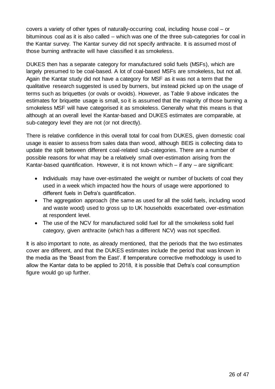covers a variety of other types of naturally-occurring coal, including house coal – or bituminous coal as it is also called – which was one of the three sub-categories for coal in the Kantar survey. The Kantar survey did not specify anthracite. It is assumed most of those burning anthracite will have classified it as smokeless.

DUKES then has a separate category for manufactured solid fuels (MSFs), which are largely presumed to be coal-based. A lot of coal-based MSFs are smokeless, but not all. Again the Kantar study did not have a category for MSF as it was not a term that the qualitative research suggested is used by burners, but instead picked up on the usage of terms such as briquettes (or ovals or ovoids). However, as Table 9 above indicates the estimates for briquette usage is small, so it is assumed that the majority of those burning a smokeless MSF will have categorised it as smokeless. Generally what this means is that although at an overall level the Kantar-based and DUKES estimates are comparable, at sub-category level they are not (or not directly).

There is relative confidence in this overall total for coal from DUKES, given domestic coal usage is easier to assess from sales data than wood, although BEIS is collecting data to update the split between different coal-related sub-categories. There are a number of possible reasons for what may be a relatively small over-estimation arising from the Kantar-based quantification. However, it is not known which – if any – are significant:

- Individuals may have over-estimated the weight or number of buckets of coal they used in a week which impacted how the hours of usage were apportioned to different fuels in Defra's quantification.
- The aggregation approach (the same as used for all the solid fuels, including wood and waste wood) used to gross up to UK households exacerbated over-estimation at respondent level.
- The use of the NCV for manufactured solid fuel for all the smokeless solid fuel category, given anthracite (which has a different NCV) was not specified.

It is also important to note, as already mentioned, that the periods that the two estimates cover are different, and that the DUKES estimates include the period that was known in the media as the 'Beast from the East'. If temperature corrective methodology is used to allow the Kantar data to be applied to 2018, it is possible that Defra's coal consumption figure would go up further.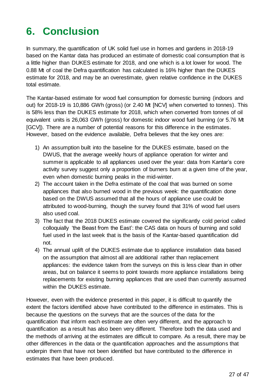# <span id="page-26-0"></span>**6. Conclusion**

In summary, the quantification of UK solid fuel use in homes and gardens in 2018-19 based on the Kantar data has produced an estimate of domestic coal consumption that is a little higher than DUKES estimate for 2018, and one which is a lot lower for wood. The 0.88 Mt of coal the Defra quantification has calculated is 16% higher than the DUKES estimate for 2018, and may be an overestimate, given relative confidence in the DUKES total estimate.

The Kantar-based estimate for wood fuel consumption for domestic burning (indoors and out) for 2018-19 is 10,886 GWh (gross) (or 2.40 Mt [NCV] when converted to tonnes). This is 58% less than the DUKES estimate for 2018, which when converted from tonnes of oil equivalent units is 26,063 GWh (gross) for domestic indoor wood fuel burning (or 5.76 Mt [GCV]). There are a number of potential reasons for this difference in the estimates. However, based on the evidence available, Defra believes that the key ones are:

- 1) An assumption built into the baseline for the DUKES estimate, based on the DWUS, that the average weekly hours of appliance operation for winter and summer is applicable to all appliances used over the year: data from Kantar's core activity survey suggest only a proportion of burners burn at a given time of the year, even when domestic burning peaks in the mid-winter.
- 2) The account taken in the Defra estimate of the coal that was burned on some appliances that also burned wood in the previous week: the quantification done based on the DWUS assumed that all the hours of appliance use could be attributed to wood-burning, though the survey found that 31% of wood fuel users also used coal.
- 3) The fact that the 2018 DUKES estimate covered the significantly cold period called colloquially 'the Beast from the East': the CAS data on hours of burning and solid fuel used in the last week that is the basis of the Kantar-based quantification did not.
- 4) The annual uplift of the DUKES estimate due to appliance installation data based on the assumption that almost all are additional rather than replacement appliances: the evidence taken from the surveys on this is less clear than in other areas, but on balance it seems to point towards more appliance installations being replacements for existing burning appliances that are used than currently assumed within the DUKES estimate.

However, even with the evidence presented in this paper, it is difficult to quantify the extent the factors identified above have contributed to the difference in estimates. This is because the questions on the surveys that are the sources of the data for the quantification that inform each estimate are often very different, and the approach to quantification as a result has also been very different. Therefore both the data used and the methods of arriving at the estimates are difficult to compare. As a result, there may be other differences in the data or the quantification approaches and the assumptions that underpin them that have not been identified but have contributed to the difference in estimates that have been produced.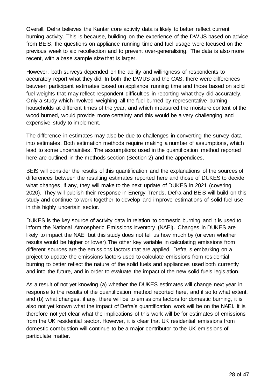Overall, Defra believes the Kantar core activity data is likely to better reflect current burning activity. This is because, building on the experience of the DWUS based on advice from BEIS, the questions on appliance running time and fuel usage were focused on the previous week to aid recollection and to prevent over-generalising. The data is also more recent, with a base sample size that is larger.

However, both surveys depended on the ability and willingness of respondents to accurately report what they did. In both the DWUS and the CAS, there were differences between participant estimates based on appliance running time and those based on solid fuel weights that may reflect respondent difficulties in reporting what they did accurately. Only a study which involved weighing all the fuel burned by representative burning households at different times of the year, and which measured the moisture content of the wood burned, would provide more certainty and this would be a very challenging and expensive study to implement.

The difference in estimates may also be due to challenges in converting the survey data into estimates. Both estimation methods require making a number of assumptions, which lead to some uncertainties. The assumptions used in the quantification method reported here are outlined in the methods section (Section 2) and the appendices.

BEIS will consider the results of this quantification and the explanations of the sources of differences between the resulting estimates reported here and those of DUKES to decide what changes, if any, they will make to the next update of DUKES in 2021 (covering 2020). They will publish their response in Energy Trends. Defra and BEIS will build on this study and continue to work together to develop and improve estimations of solid fuel use in this highly uncertain sector.

DUKES is the key source of activity data in relation to domestic burning and it is used to inform the National Atmospheric Emissions Inventory (NAEI). Changes in DUKES are likely to impact the NAEI but this study does not tell us how much by (or even whether results would be higher or lower).The other key variable in calculating emissions from different sources are the emissions factors that are applied. Defra is embarking on a project to update the emissions factors used to calculate emissions from residential burning to better reflect the nature of the solid fuels and appliances used both currently and into the future, and in order to evaluate the impact of the new solid fuels legislation.

As a result of not yet knowing (a) whether the DUKES estimates will change next year in response to the results of the quantification method reported here, and if so to what extent, and (b) what changes, if any, there will be to emissions factors for domestic burning, it is also not yet known what the impact of Defra's quantification work will be on the NAEI. It is therefore not yet clear what the implications of this work will be for estimates of emissions from the UK residential sector. However, it is clear that UK residential emissions from domestic combustion will continue to be a major contributor to the UK emissions of particulate matter.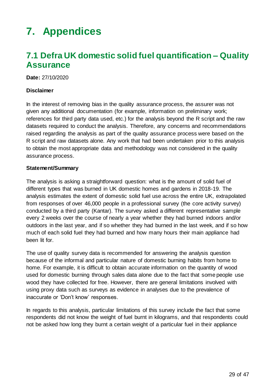# <span id="page-28-0"></span>**7. Appendices**

## <span id="page-28-1"></span>**7.1 Defra UK domestic solid fuel quantification – Quality Assurance**

**Date:** 27/10/2020

#### **Disclaimer**

In the interest of removing bias in the quality assurance process, the assurer was not given any additional documentation (for example, information on preliminary work; references for third party data used, etc.) for the analysis beyond the R script and the raw datasets required to conduct the analysis. Therefore, any concerns and recommendations raised regarding the analysis as part of the quality assurance process were based on the R script and raw datasets alone. Any work that had been undertaken prior to this analysis to obtain the most appropriate data and methodology was not considered in the quality assurance process.

#### **Statement/Summary**

The analysis is asking a straightforward question: what is the amount of solid fuel of different types that was burned in UK domestic homes and gardens in 2018-19. The analysis estimates the extent of domestic solid fuel use across the entire UK, extrapolated from responses of over 46,000 people in a professional survey (the core activity survey) conducted by a third party (Kantar). The survey asked a different representative sample every 2 weeks over the course of nearly a year whether they had burned indoors and/or outdoors in the last year, and if so whether they had burned in the last week, and if so how much of each solid fuel they had burned and how many hours their main appliance had been lit for.

The use of quality survey data is recommended for answering the analysis question because of the informal and particular nature of domestic burning habits from home to home. For example, it is difficult to obtain accurate information on the quantity of wood used for domestic burning through sales data alone due to the fact that some people use wood they have collected for free. However, there are general limitations involved with using proxy data such as surveys as evidence in analyses due to the prevalence of inaccurate or 'Don't know' responses.

In regards to this analysis, particular limitations of this survey include the fact that some respondents did not know the weight of fuel burnt in kilograms, and that respondents could not be asked how long they burnt a certain weight of a particular fuel in their appliance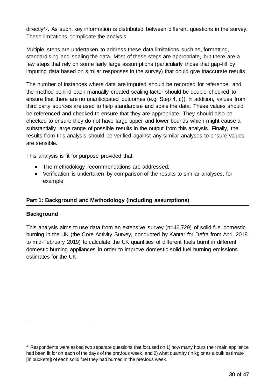directly46. As such, key information is distributed between different questions in the survey. These limitations complicate the analysis.

Multiple steps are undertaken to address these data limitations such as, formatting, standardising and scaling the data. Most of these steps are appropriate, but there are a few steps that rely on some fairly large assumptions (particularly those that gap-fill by imputing data based on similar responses in the survey) that could give inaccurate results.

The number of instances where data are imputed should be recorded for reference, and the method behind each manually created scaling factor should be double-checked to ensure that there are no unanticipated outcomes (e.g. Step 4, c)). In addition, values from third party sources are used to help standardise and scale the data. These values should be referenced and checked to ensure that they are appropriate. They should also be checked to ensure they do not have large upper and lower bounds which might cause a substantially large range of possible results in the output from this analysis. Finally, the results from this analysis should be verified against any similar analyses to ensure values are sensible.

This analysis is fit for purpose provided that:

- The methodology recommendations are addressed;
- Verification is undertaken by comparison of the results to similar analyses, for example.

#### **Part 1: Background and Methodology (including assumptions)**

#### **Background**

1

This analysis aims to use data from an extensive survey (n=46,729) of solid fuel domestic burning in the UK (the Core Activity Survey, conducted by Kantar for Defra from April 2018 to mid-February 2019) to calculate the UK quantities of different fuels burnt in different domestic burning appliances in order to improve domestic solid fuel burning emissions estimates for the UK.

<sup>46</sup> Respondents were asked two separate questions that focused on 1) how many hours their main appliance had been lit for on each of the days of the previous week, and 2) what quantity (in kg or as a bulk estimate [in buckets]) of each solid fuel they had burned in the previous week.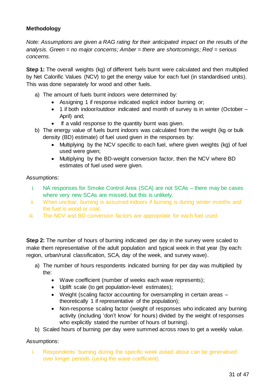#### **Methodology**

*Note: Assumptions are given a RAG rating for their anticipated impact on the results of the analysis. Green = no major concerns; Amber = there are shortcomings; Red = serious concerns.*

**Step 1:** The overall weights (kg) of different fuels burnt were calculated and then multiplied by Net Calorific Values (NCV) to get the energy value for each fuel (in standardised units). This was done separately for wood and other fuels.

- a) The amount of fuels burnt indoors were determined by:
	- Assigning 1 if response indicated explicit indoor burning or;
	- 1 if both indoor/outdoor indicated and month of survey is in winter (October April) and;
	- If a valid response to the quantity burnt was given.
- b) The energy value of fuels burnt indoors was calculated from the weight (kg or bulk density (BD) estimate) of fuel used given in the responses by:
	- Multiplying by the NCV specific to each fuel, where given weights (kg) of fuel used were given;
	- Multiplying by the BD-weight conversion factor, then the NCV where BD estimates of fuel used were given.

#### Assumptions:

- i. NA responses for Smoke Control Area (SCA) are not SCAs there may be cases where very new SCAs are missed, but this is unlikely.
- ii. When unclear, burning is assumed indoors if burning is during winter months and the fuel is wood or coal.
- iii. The NCV and BD conversion factors are appropriate for each fuel used.

**Step 2:** The number of hours of burning indicated per day in the survey were scaled to make them representative of the adult population and typical week in that year (by each: region, urban/rural classification, SCA, day of the week, and survey wave).

- a) The number of hours respondents indicated burning for per day was multiplied by the:
	- Wave coefficient (number of weeks each wave represents);
	- Uplift scale (to get population-level estimates);
	- Weight (scaling factor accounting for oversampling in certain areas theoretically 1 if representative of the population);
	- Non-response scaling factor (weight of responses who indicated any burning activity (including 'don't know' for hours) divided by the weight of responses who explicitly stated the number of hours of burning).
- b) Scaled hours of burning per day were summed across rows to get a weekly value.

#### Assumptions:

i. Respondents' burning during the specific week asked about can be generalised over longer periods (using the wave coefficient).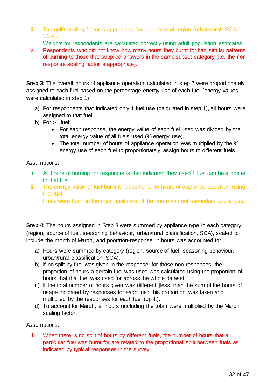- ii. The uplift scaling factor is appropriate for each type of region (urban/rural; SCA/no SCA).
- iii. Weights for respondents are calculated correctly using adult population estimates.
- iv. Respondents who did not know how many hours they burnt for had similar patterns of burning to those that supplied answers in the same subset category (i.e. the nonresponse scaling factor is appropriate).

**Step 3:** The overall hours of appliance operation calculated in step 2 were proportionately assigned to each fuel based on the percentage energy use of each fuel (energy values were calculated in step 1).

- a) For respondents that indicated only 1 fuel use (calculated in step 1), all hours were assigned to that fuel.
- b) For >1 fuel:
	- For each response, the energy value of each fuel used was divided by the total energy value of all fuels used (% energy use).
	- The total number of hours of appliance operation was multiplied by the % energy use of each fuel to proportionately assign hours to different fuels.

#### Assumptions:

- i. All hours of burning for respondents that indicated they used 1 fuel can be allocated to that fuel.
- ii. The energy value of fuel burnt is proportional to hours of appliance operation using that fuel.
- iii. Fuels were burnt in the main appliance of the home and not secondary appliances.

**Step 4:** The hours assigned in Step 3 were summed by appliance type in each category (region, source of fuel, seasoning behaviour, urban/rural classification, SCA), scaled to include the month of March, and poor/non-response in hours was accounted for.

- a) Hours were summed by category (region, source of fuel, seasoning behaviour, urban/rural classification, SCA).
- b) If no split by fuel was given in the response: for those non-responses, the proportion of hours a certain fuel was used was calculated using the proportion of hours that that fuel was used for across the whole dataset.
- c) If the total number of hours given was different [less] than the sum of the hours of usage indicated by responses for each fuel: this proportion was taken and multiplied by the responses for each fuel (uplift).
- d) To account for March, all hours (including the total) were multiplied by the March scaling factor.

#### Assumptions:

i. When there is no split of hours by different fuels, the number of hours that a particular fuel was burnt for are related to the proportional split between fuels as indicated by typical responses in the survey.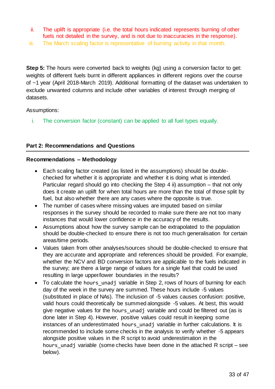- ii. The uplift is appropriate (i.e. the total hours indicated represents burning of other fuels not detailed in the survey, and is not due to inaccuracies in the response).
- iii. The March scaling factor is representative of burning activity in that month.

**Step 5:** The hours were converted back to weights (kg) using a conversion factor to get: weights of different fuels burnt in different appliances in different regions over the course of ~1 year (April 2018-March 2019). Additional formatting of the dataset was undertaken to exclude unwanted columns and include other variables of interest through merging of datasets.

#### Assumptions:

i. The conversion factor (constant) can be applied to all fuel types equally.

#### **Part 2: Recommendations and Questions**

#### **Recommendations – Methodology**

- Each scaling factor created (as listed in the assumptions) should be doublechecked for whether it is appropriate and whether it is doing what is intended. Particular regard should go into checking the Step 4 ii) assumption – that not only does it create an uplift for when total hours are more than the total of those split by fuel, but also whether there are any cases where the opposite is true.
- The number of cases where missing values are imputed based on similar responses in the survey should be recorded to make sure there are not too many instances that would lower confidence in the accuracy of the results.
- Assumptions about how the survey sample can be extrapolated to the population should be double-checked to ensure there is not too much generalisation for certain areas/time periods.
- Values taken from other analyses/sources should be double-checked to ensure that they are accurate and appropriate and references should be provided. For example, whether the NCV and BD conversion factors are applicable to the fuels indicated in the survey; are there a large range of values for a single fuel that could be used resulting in large upper/lower boundaries in the results?
- To calculate the hours\_unadj variable in Step 2, rows of hours of burning for each day of the week in the survey are summed. These hours include -5 values (substituted in place of NAs). The inclusion of -5 values causes confusion: positive, valid hours could theoretically be summed alongside -5 values. At best, this would give negative values for the hours unadj variable and could be filtered out (as is done later in Step 4). However, positive values could result in keeping some instances of an underestimated hours unadj variable in further calculations. It is recommended to include some checks in the analysis to verify whether -5 appears alongside positive values in the R script to avoid underestimation in the hours unadj variable (some checks have been done in the attached R script – see below).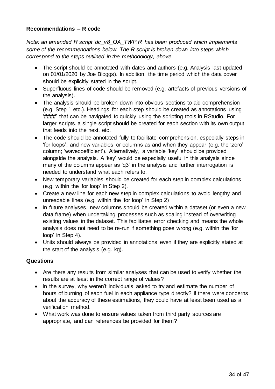#### **Recommendations – R code**

*Note: an amended R script 'dc\_v8\_QA\_TWP.R' has been produced which implements some of the recommendations below. The R script is broken down into steps which correspond to the steps outlined in the methodology, above.*

- The script should be annotated with dates and authors (e.g. Analysis last updated on 01/01/2020 by Joe Bloggs). In addition, the time period which the data cover should be explicitly stated in the script.
- Superfluous lines of code should be removed (e.g. artefacts of previous versions of the analysis).
- The analysis should be broken down into obvious sections to aid comprehension (e.g. Step 1 etc.). Headings for each step should be created as annotations using '####' that can be navigated to quickly using the scripting tools in RStudio. For larger scripts, a single script should be created for each section with its own output that feeds into the next, etc.
- The code should be annotated fully to facilitate comprehension, especially steps in 'for loops', and new variables or columns as and when they appear (e.g. the 'zero' column; 'wavecoefficient'). Alternatively, a variable 'key' should be provided alongside the analysis. A 'key' would be especially useful in this analysis since many of the columns appear as 'q3' in the analysis and further interrogation is needed to understand what each refers to.
- New temporary variables should be created for each step in complex calculations (e.g. within the 'for loop' in Step 2).
- Create a new line for each new step in complex calculations to avoid lengthy and unreadable lines (e.g. within the 'for loop' in Step 2)
- In future analyses, new columns should be created within a dataset (or even a new data frame) when undertaking processes such as scaling instead of overwriting existing values in the dataset. This facilitates error checking and means the whole analysis does not need to be re-run if something goes wrong (e.g. within the 'for loop' in Step 4).
- Units should always be provided in annotations even if they are explicitly stated at the start of the analysis (e.g. kg).

#### **Questions**

- Are there any results from similar analyses that can be used to verify whether the results are at least in the correct range of values?
- In the survey, why weren't individuals asked to try and estimate the number of hours of burning of each fuel in each appliance type directly? If there were concerns about the accuracy of these estimations, they could have at least been used as a verification method.
- What work was done to ensure values taken from third party sources are appropriate, and can references be provided for them?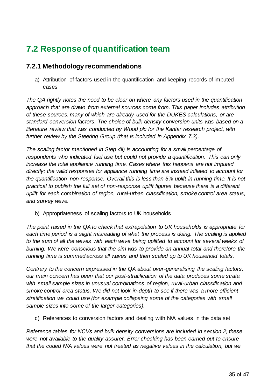# <span id="page-34-0"></span>**7.2 Response of quantification team**

### **7.2.1 Methodology recommendations**

a) Attribution of factors used in the quantification and keeping records of imputed cases

*The QA rightly notes the need to be clear on where any factors used in the quantification approach that are drawn from external sources come from. This paper includes attribution of these sources, many of which are already used for the DUKES calculations, or are standard conversion factors. The choice of bulk density conversion units was based on a literature review that was conducted by Wood plc for the Kantar research project, with further review by the Steering Group (that is included in Appendix 7.3).*

*The scaling factor mentioned in Step 4ii) is accounting for a small percentage of respondents who indicated fuel use but could not provide a quantification. This can only increase the total appliance running time. Cases where this happens are not imputed directly; the valid responses for appliance running time are instead inflated to account for the quantification non-response. Overall this is less than 5% uplift in running time. It is not practical to publish the full set of non-response uplift figures because there is a different uplift for each combination of region, rural-urban classification, smoke control area status, and survey wave.*

b) Appropriateness of scaling factors to UK households

*The point raised in the QA to check that extrapolation to UK households is appropriate for*  each time period is a slight misreading of what the process is doing. The scaling is applied *to the sum of all the waves with each wave being uplifted to account for several weeks of burning. We were conscious that the aim was to provide an annual total and therefore the running time is summed across all waves and then scaled up to UK household totals.*

*Contrary to the concern expressed in the QA about over-generalising the scaling factors, our main concern has been that our post-stratification of the data produces some strata with small sample sizes in unusual combinations of region, rural-urban classification and smoke control area status. We did not look in-depth to see if there was a more efficient stratification we could use (for example collapsing some of the categories with small sample sizes into some of the larger categories).* 

c) References to conversion factors and dealing with N/A values in the data set

*Reference tables for NCVs and bulk density conversions are included in section 2; these were not available to the quality assurer. Error checking has been carried out to ensure that the coded N/A values were not treated as negative values in the calculation, but we*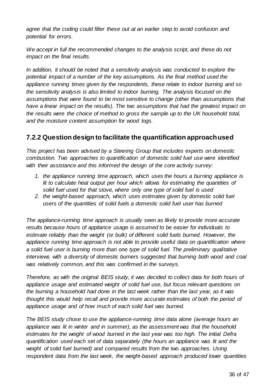*agree that the coding could filter these out at an earlier step to avoid confusion and potential for errors.*

*We accept in full the recommended changes to the analysis script, and these do not impact on the final results.*

*In addition, it should be noted that a sensitivity analysis was conducted to explore the potential impact of a number of the key assumptions. As the final method used the appliance running times given by the respondents, these relate to indoor burning and so the sensitivity analysis is also limited to indoor burning. The analysis focused on the assumptions that were found to be most sensitive to change (other than assumptions that have a linear impact on the results). The two assumptions that had the greatest impact on the results were the choice of method to gross the sample up to the UK household total, and the moisture content assumption for wood logs.*

### **7.2.2 Question design to facilitate the quantification approach used**

*This project has been advised by a Steering Group that includes experts on domestic combustion. Two approaches to quantification of domestic solid fuel use were identified with their assistance and this informed the design of the core activity survey:* 

- *1. the appliance running time approach, which uses the hours a burning appliance is lit to calculate heat output per hour which allows for estimating the quantities of solid fuel used for that stove, where only one type of solid fuel is used*
- *2. the weight-based approach, which uses estimates given by domestic solid fuel users of the quantities of solid fuels a domestic solid fuel user has burned*

*The appliance-running time approach is usually seen as likely to provide more accurate results because hours of appliance usage is assumed to be easier for individuals to*  estimate reliably than the weight (or bulk) of different solid fuels burned. However, the *appliance running time approach is not able to provide useful data on quantification where a solid fuel user is burning more than one type of solid fuel. The preliminary qualitative interviews with a diversity of domestic burners suggested that burning both wood and coal was relatively common, and this was confirmed in the surveys.*

*Therefore, as with the original BEIS study, it was decided to collect data for both hours of appliance usage and estimated weight of solid fuel use, but focus relevant questions on the burning a household had done in the last week rather than the last year, as it was thought this would help recall and provide more accurate estimates of both the period of appliance usage and of how much of each solid fuel was burned.* 

*The BEIS study chose to use the appliance-running time data alone (average hours an appliance was lit in winter and in summer), as the assessment was that the household estimates for the weight of wood burned in the last year was too high. The initial Defra quantification used each set of data separately (the hours an appliance was lit and the*  weight of solid fuel burned) and compared results from the two approaches. Using *respondent data from the last week, the weight-based approach produced lower quantities*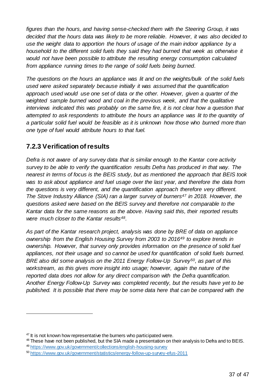*figures than the hours, and having sense-checked them with the Steering Group, it was decided that the hours data was likely to be more reliable. However, it was also decided to use the weight data to apportion the hours of usage of the main indoor appliance by a household to the different solid fuels they said they had burned that week as otherwise it would not have been possible to attribute the resulting energy consumption calculated from appliance running times to the range of solid fuels being burned.* 

*The questions on the hours an appliance was lit and on the weights/bulk of the solid fuels used were asked separately because initially it was assumed that the quantification approach used would use one set of data or the other. However, given a quarter of the weighted sample burned wood and coal in the previous week, and that the qualitative interviews indicated this was probably on the same fire, it is not clear how a question that attempted to ask respondents to attribute the hours an appliance was lit to the quantity of a particular solid fuel would be feasible as it is unknown how those who burned more than one type of fuel would attribute hours to that fuel.* 

### **7.2.3 Verification of results**

1

*Defra is not aware of any survey data that is similar enough to the Kantar core activity survey to be able to verify the quantification results Defra has produced in that way. The nearest in terms of focus is the BEIS study, but as mentioned the approach that BEIS took was to ask about appliance and fuel usage over the last year, and therefore the data from the questions is very different, and the quantification approach therefore very different. The Stove Industry Alliance (SIA) ran a larger survey of burners<sup>47</sup> in 2018. However, the questions asked were based on the BEIS survey and therefore not comparable to the Kantar data for the same reasons as the above. Having said this, their reported results were much closer to the Kantar results48.* 

*As part of the Kantar research project, analysis was done by BRE of data on appliance ownership from the English Housing Survey from 2003 to 2016<sup>49</sup> to explore trends in ownership. However, that survey only provides information on the presence of solid fuel appliances, not their usage and so cannot be used for quantification of solid fuels burned. BRE also did some analysis on the 2011 Energy Follow-Up Survey50, as part of this*  workstream, as this gives more insight into usage; however, again the nature of the *reported data does not allow for any direct comparison with the Defra quantification. Another Energy Follow-Up Survey was completed recently, but the results have yet to be published. It is possible that there may be some data here that can be compared with the* 

 $47$  It is not known how representative the burners who participated were.

<sup>&</sup>lt;sup>48</sup> These have not been published, but the SIA made a presentation on their analysis to Defra and to BEIS.

<sup>49</sup> <https://www.gov.uk/government/collections/english-housing-survey>

<sup>50</sup> <https://www.gov.uk/government/statistics/energy-follow-up-survey-efus-2011>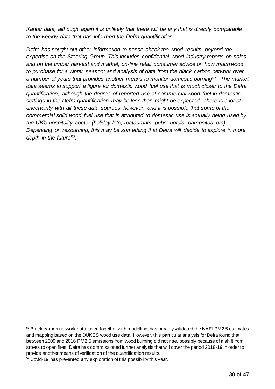*Kantar data, although again it is unlikely that there will be any that is directly comparable to the weekly data that has informed the Defra quantification.*

*Defra has sought out other information to sense-check the wood results, beyond the expertise on the Steering Group. This includes confidential wood industry reports on sales, and on the timber harvest and market; on-line retail consumer advice on how much wood to purchase for a winter season; and analysis of data from the black carbon network over a number of years that provides another means to monitor domestic burning51. The market data seems to support a figure for domestic wood fuel use that is much closer to the Defra quantification, although the degree of reported use of commercial wood fuel in domestic*  settings in the Defra quantification may be less than might be expected. There is a lot of *uncertainty with all these data sources, however, and it is possible that some of the commercial solid wood fuel use that is attributed to domestic use is actually being used by the UK's hospitality sector (holiday lets, restaurants, pubs, hotels, campsites, etc). Depending on resourcing, this may be something that Defra will decide to explore in more depth in the future52.* 

<sup>51</sup> Black carbon network data, used together with modelling, has broadly validated the NAEI PM2.5 estimates and mapping based on the DUKES wood use data. However, this particular analysis for Defra found that between 2009 and 2016 PM2.5 emissions from wood burning did not rise, possibly because of a shift from stoves to open fires. Defra has commissioned further analysis that will cover the period 2018-19 in order to provide another means of verification of the quantification results.

 $52$  Covid-19 has prevented any exploration of this possibility this year.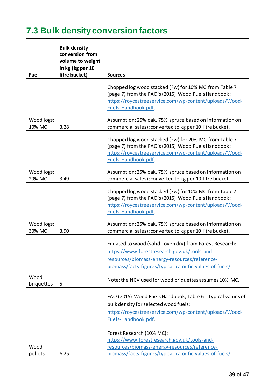# <span id="page-38-0"></span>**7.3 Bulk density conversion factors**

|                      | <b>Bulk density</b><br>conversion from |                                                                                                                                                                                                                                                                                                                     |
|----------------------|----------------------------------------|---------------------------------------------------------------------------------------------------------------------------------------------------------------------------------------------------------------------------------------------------------------------------------------------------------------------|
|                      | volume to weight<br>in kg (kg per 10   |                                                                                                                                                                                                                                                                                                                     |
| Fuel                 | litre bucket)                          | <b>Sources</b>                                                                                                                                                                                                                                                                                                      |
| Wood logs:<br>10% MC | 3.28                                   | Chopped log wood stacked (Fw) for 10% MC from Table 7<br>(page 7) from the FAO's (2015) Wood Fuels Handbook:<br>https://roycestreeservice.com/wp-content/uploads/Wood-<br>Fuels-Handbook.pdf.<br>Assumption: 25% oak, 75% spruce based on information on<br>commercial sales); converted to kg per 10 litre bucket. |
|                      |                                        |                                                                                                                                                                                                                                                                                                                     |
|                      |                                        | Chopped log wood stacked (Fw) for 20% MC from Table 7<br>(page 7) from the FAO's (2015) Wood Fuels Handbook:<br>https://roycestreeservice.com/wp-content/uploads/Wood-<br>Fuels-Handbook.pdf.                                                                                                                       |
| Wood logs:<br>20% MC | 3.49                                   | Assumption: 25% oak, 75% spruce based on information on<br>commercial sales); converted to kg per 10 litre bucket.                                                                                                                                                                                                  |
|                      |                                        | Chopped log wood stacked (Fw) for 10% MC from Table 7<br>(page 7) from the FAO's (2015) Wood Fuels Handbook:<br>https://roycestreeservice.com/wp-content/uploads/Wood-<br>Fuels-Handbook.pdf.                                                                                                                       |
| Wood logs:<br>30% MC | 3.90                                   | Assumption: 25% oak, 75% spruce based on information on<br>commercial sales); converted to kg per 10 litre bucket.                                                                                                                                                                                                  |
|                      |                                        | Equated to wood (solid - oven dry) from Forest Research:<br>https://www.forestresearch.gov.uk/tools-and-<br>resources/biomass-energy-resources/reference-<br>biomass/facts-figures/typical-calorific-values-of-fuels/                                                                                               |
| Wood<br>briquettes   | 5                                      | Note: the NCV used for wood briquettes assumes 10% MC.                                                                                                                                                                                                                                                              |
|                      |                                        | FAO (2015) Wood Fuels Handbook, Table 6 - Typical values of<br>bulk density for selected wood fuels:<br>https://roycestreeservice.com/wp-content/uploads/Wood-<br>Fuels-Handbook.pdf.                                                                                                                               |
| Wood<br>pellets      | 6.25                                   | Forest Research (10% MC):<br>https://www.forestresearch.gov.uk/tools-and-<br>resources/biomass-energy-resources/reference-<br>biomass/facts-figures/typical-calorific-values-of-fuels/                                                                                                                              |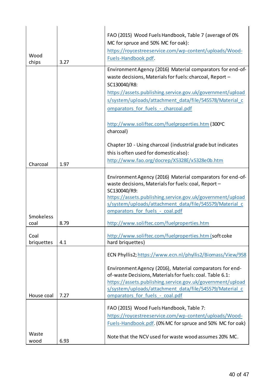|               |      | FAO (2015) Wood Fuels Handbook, Table 7 (average of 0%                                                                |
|---------------|------|-----------------------------------------------------------------------------------------------------------------------|
|               |      | MC for spruce and 50% MC for oak):                                                                                    |
|               |      | https://roycestreeservice.com/wp-content/uploads/Wood-                                                                |
| Wood<br>chips | 3.27 | Fuels-Handbook.pdf.                                                                                                   |
|               |      | Environment Agency (2016) Material comparators for end-of-                                                            |
|               |      | waste decisions, Materials for fuels: charcoal, Report -                                                              |
|               |      | SC130040/R8:                                                                                                          |
|               |      | https://assets.publishing.service.gov.uk/government/upload                                                            |
|               |      | s/system/uploads/attachment_data/file/545578/Material_c                                                               |
|               |      | omparators for fuels - charcoal.pdf                                                                                   |
|               |      | http://www.soliftec.com/fuelproperties.htm (300°C<br>charcoal)                                                        |
|               |      | Chapter 10 - Using charcoal (industrial grade but indicates                                                           |
|               |      | this is often used for domesticalso):                                                                                 |
| Charcoal      | 1.97 | http://www.fao.org/docrep/X5328E/x5328e0b.htm                                                                         |
|               |      |                                                                                                                       |
|               |      | Environment Agency (2016) Material comparators for end-of-<br>waste decisions, Materials for fuels: coal, Report -    |
|               |      | SC130040/R9:                                                                                                          |
|               |      | https://assets.publishing.service.gov.uk/government/upload                                                            |
|               |      | s/system/uploads/attachment data/file/545579/Material c                                                               |
| Smokeless     |      | omparators for fuels - coal.pdf                                                                                       |
| coal          | 8.79 | http://www.soliftec.com/fuelproperties.htm                                                                            |
| Coal          |      | http://www.soliftec.com/fuelproperties.htm (soft coke                                                                 |
| briquettes    | 4.1  | hard briquettes)                                                                                                      |
|               |      | ECN Phyllis2; https://www.ecn.nl/phyllis2/Biomass/View/958                                                            |
|               |      |                                                                                                                       |
|               |      | Environment Agency (2016), Material comparators for end-<br>of-waste Decisions, Materials for fuels: coal. Table 6.1: |
|               |      | https://assets.publishing.service.gov.uk/government/upload                                                            |
|               |      | s/system/uploads/attachment_data/file/545579/Material_c                                                               |
| House coal    | 7.27 | omparators for fuels - coal.pdf                                                                                       |
|               |      | FAO (2015) Wood Fuels Handbook, Table 7:                                                                              |
|               |      | https://roycestreeservice.com/wp-content/uploads/Wood-                                                                |
|               |      | Fuels-Handbook.pdf. (0% MC for spruce and 50% MC for oak)                                                             |
| Waste         |      |                                                                                                                       |
| wood          | 6.93 | Note that the NCV used for waste wood assumes 20% MC.                                                                 |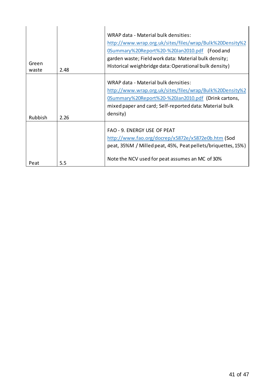| Green<br>waste | 2.48 | WRAP data - Material bulk densities:<br>http://www.wrap.org.uk/sites/files/wrap/Bulk%20Density%2<br>0Summary%20Report%20-%20Jan2010.pdf (Food and<br>garden waste; Field work data: Material bulk density;<br>Historical weighbridge data: Operational bulk density) |
|----------------|------|----------------------------------------------------------------------------------------------------------------------------------------------------------------------------------------------------------------------------------------------------------------------|
| Rubbish        | 2.26 | WRAP data - Material bulk densities:<br>http://www.wrap.org.uk/sites/files/wrap/Bulk%20Density%2<br>0Summary%20Report%20-%20Jan2010.pdf (Drink cartons,<br>mixed paper and card; Self-reported data: Material bulk<br>density)                                       |
| Peat           | 5.5  | FAO - 9. ENERGY USE OF PEAT<br>http://www.fao.org/docrep/x5872e/x5872e0b.htm (Sod<br>peat, 35%M / Milled peat, 45%, Peat pellets/briquettes, 15%)<br>Note the NCV used for peat assumes an MC of 30%                                                                 |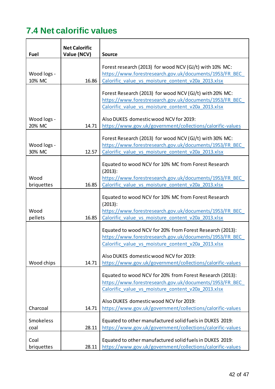# <span id="page-41-0"></span>**7.4 Net calorific values**

|                       | <b>Net Calorific</b> |                                                                                                                                                                                                                                                                                  |
|-----------------------|----------------------|----------------------------------------------------------------------------------------------------------------------------------------------------------------------------------------------------------------------------------------------------------------------------------|
| Fuel                  | Value (NCV)          | <b>Source</b>                                                                                                                                                                                                                                                                    |
| Wood logs -<br>10% MC | 16.86                | Forest research (2013) for wood NCV (GJ/t) with 10% MC:<br>https://www.forestresearch.gov.uk/documents/1953/FR BEC<br>Calorific value vs moisture content v20a 2013.xlsx                                                                                                         |
| Wood logs -<br>20% MC | 14.71                | Forest Research (2013) for wood NCV (GJ/t) with 20% MC:<br>https://www.forestresearch.gov.uk/documents/1953/FR BEC<br>Calorific value vs moisture content v20a 2013.xlsx<br>Also DUKES domestic wood NCV for 2019:<br>https://www.gov.uk/government/collections/calorific-values |
| Wood logs -<br>30% MC | 12.57                | Forest Research (2013) for wood NCV (GJ/t) with 30% MC:<br>https://www.forestresearch.gov.uk/documents/1953/FR BEC<br>Calorific value vs moisture content v20a 2013.xlsx                                                                                                         |
| Wood<br>briquettes    | 16.85                | Equated to wood NCV for 10% MC from Forest Research<br>(2013):<br>https://www.forestresearch.gov.uk/documents/1953/FR BEC<br>Calorific value vs moisture content v20a 2013.xlsx                                                                                                  |
| Wood<br>pellets       | 16.85                | Equated to wood NCV for 10% MC from Forest Research<br>(2013):<br>https://www.forestresearch.gov.uk/documents/1953/FR BEC<br>Calorific value vs moisture content v20a 2013.xlsx                                                                                                  |
|                       |                      | Equated to wood NCV for 20% from Forest Research (2013):<br>https://www.forestresearch.gov.uk/documents/1953/FR BEC<br>Calorific value vs moisture content v20a 2013.xlsx                                                                                                        |
| Wood chips            | 14.71                | Also DUKES domestic wood NCV for 2019:<br>https://www.gov.uk/government/collections/calorific-values                                                                                                                                                                             |
|                       |                      | Equated to wood NCV for 20% from Forest Research (2013):<br>https://www.forestresearch.gov.uk/documents/1953/FR BEC<br>Calorific value vs moisture content v20a 2013.xlsx                                                                                                        |
| Charcoal              | 14.71                | Also DUKES domestic wood NCV for 2019:<br>https://www.gov.uk/government/collections/calorific-values                                                                                                                                                                             |
| Smokeless<br>coal     | 28.11                | Equated to other manufactured solid fuels in DUKES 2019:<br>https://www.gov.uk/government/collections/calorific-values                                                                                                                                                           |
| Coal<br>briquettes    | 28.11                | Equated to other manufactured solid fuels in DUKES 2019:<br>https://www.gov.uk/government/collections/calorific-values                                                                                                                                                           |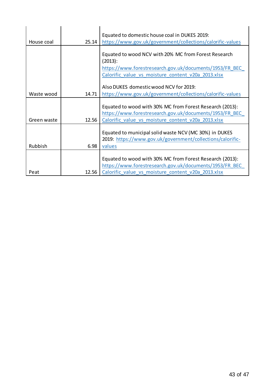| House coal  | 25.14 | Equated to domestic house coal in DUKES 2019:<br>https://www.gov.uk/government/collections/calorific-values                                                               |
|-------------|-------|---------------------------------------------------------------------------------------------------------------------------------------------------------------------------|
|             |       |                                                                                                                                                                           |
|             |       | Equated to wood NCV with 20% MC from Forest Research<br>(2013):                                                                                                           |
|             |       | https://www.forestresearch.gov.uk/documents/1953/FR BEC                                                                                                                   |
|             |       | Calorific value vs moisture content v20a 2013.xlsx                                                                                                                        |
|             |       | Also DUKES domestic wood NCV for 2019:                                                                                                                                    |
| Waste wood  | 14.71 | https://www.gov.uk/government/collections/calorific-values                                                                                                                |
| Green waste | 12.56 | Equated to wood with 30% MC from Forest Research (2013):<br>https://www.forestresearch.gov.uk/documents/1953/FR BEC<br>Calorific value vs moisture content v20a 2013.xlsx |
| Rubbish     | 6.98  | Equated to municipal solid waste NCV (MC 30%) in DUKES<br>2019: https://www.gov.uk/government/collections/calorific-<br>values                                            |
|             |       |                                                                                                                                                                           |
|             |       | Equated to wood with 30% MC from Forest Research (2013):                                                                                                                  |
|             |       | https://www.forestresearch.gov.uk/documents/1953/FR BEC                                                                                                                   |
| Peat        | 12.56 | Calorific value vs moisture content v20a 2013.xlsx                                                                                                                        |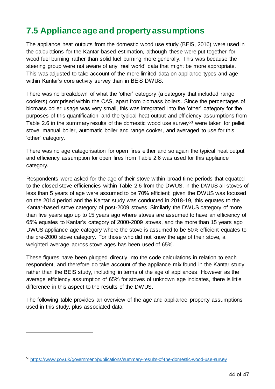## <span id="page-43-0"></span>**7.5 Appliance age and property assumptions**

The appliance heat outputs from the domestic wood use study (BEIS, 2016) were used in the calculations for the Kantar-based estimation, although these were put together for wood fuel burning rather than solid fuel burning more generally. This was because the steering group were not aware of any 'real world' data that might be more appropriate. This was adjusted to take account of the more limited data on appliance types and age within Kantar's core activity survey than in BEIS DWUS.

There was no breakdown of what the 'other' category (a category that included range cookers) comprised within the CAS, apart from biomass boilers. Since the percentages of biomass boiler usage was very small, this was integrated into the 'other' category for the purposes of this quantification and the typical heat output and efficiency assumptions from Table 2.6 in the summary results of the domestic wood use survey<sup>53</sup> were taken for pellet stove, manual boiler, automatic boiler and range cooker, and averaged to use for this 'other' category.

There was no age categorisation for open fires either and so again the typical heat output and efficiency assumption for open fires from Table 2.6 was used for this appliance category.

Respondents were asked for the age of their stove within broad time periods that equated to the closed stove efficiencies within Table 2.6 from the DWUS. In the DWUS all stoves of less than 5 years of age were assumed to be 70% efficient; given the DWUS was focused on the 2014 period and the Kantar study was conducted in 2018-19, this equates to the Kantar-based stove category of post-2009 stoves. Similarly the DWUS category of more than five years ago up to 15 years ago where stoves are assumed to have an efficiency of 65% equates to Kantar's category of 2000-2009 stoves, and the more than 15 years ago DWUS appliance age category where the stove is assumed to be 50% efficient equates to the pre-2000 stove category. For those who did not know the age of their stove, a weighted average across stove ages has been used of 65%.

These figures have been plugged directly into the code calculations in relation to each respondent, and therefore do take account of the appliance mix found in the Kantar study rather than the BEIS study, including in terms of the age of appliances. However as the average efficiency assumption of 65% for stoves of unknown age indicates, there is little difference in this aspect to the results of the DWUS.

The following table provides an overview of the age and appliance property assumptions used in this study, plus associated data.

-

<sup>53</sup> <https://www.gov.uk/government/publications/summary-results-of-the-domestic-wood-use-survey>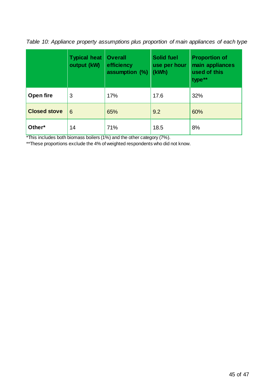*Table 10: Appliance property assumptions plus proportion of main appliances of each type*

|                     | <b>Typical heat</b><br>output (kW) | <b>Overall</b><br>efficiency<br>assumption (%) | <b>Solid fuel</b><br>use per hour<br>(kWh) | <b>Proportion of</b><br>main appliances<br>used of this<br>type** |
|---------------------|------------------------------------|------------------------------------------------|--------------------------------------------|-------------------------------------------------------------------|
| Open fire           | 3                                  | 17%                                            | 17.6                                       | 32%                                                               |
| <b>Closed stove</b> | 6                                  | 65%                                            | 9.2                                        | 60%                                                               |
| Other*              | 14                                 | 71%                                            | 18.5                                       | 8%                                                                |

 $\frac{1}{2}$ This includes both biomass boilers (1%) and the other category (7%).

\*\*These proportions exclude the 4% of weighted respondents who did not know.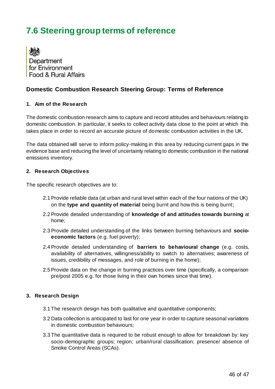# <span id="page-45-0"></span>**7.6 Steering group terms of reference**

Department for Environment **Food & Bural Affairs** 

#### **Domestic Combustion Research Steering Group: Terms of Reference**

#### **1. Aim of the Research**

The domestic combustion research aims to capture and record attitudes and behaviours relating to domestic combustion. In particular, it seeks to collect activity data close to the point at which this takes place in order to record an accurate picture of domestic combustion activities in the UK.

The data obtained will serve to inform policy-making in this area by reducing current gaps in the evidence base and reducing the level of uncertainty relating to domestic combustion in the national emissions inventory.

#### **2. Research Objectives**

The specific research objectives are to:

- 2.1Provide reliable data (at urban and rural level within each of the four nations of the UK) on the **type and quantity of material** being burnt and how this is being burnt;
- 2.2Provide detailed understanding of **knowledge of and attitudes towards burning** at home;
- 2.3Provide detailed understanding of the links between burning behaviours and **socioeconomic factors** (e.g. fuel poverty);
- 2.4Provide detailed understanding of **barriers to behavioural change** (e.g. costs, availability of alternatives, willingness/ability to switch to alternatives; awareness of issues, credibility of messages, and role of burning in the home);
- 2.5Provide data on the change in burning practices over time (specifically, a comparison pre/post 2005 e.g. for those living in their own homes since that time).

#### **3. Research Design**

- 3.1 The research design has both qualitative and quantitative components;
- 3.2 Data collection is anticipated to last for one year in order to capture seasonal variations in domestic combustion behaviours;
- 3.3 The quantitative data is required to be robust enough to allow for breakdown by: key socio-demographic groups; region; urban/rural classification; presence/ absence of Smoke Control Areas (SCAs).